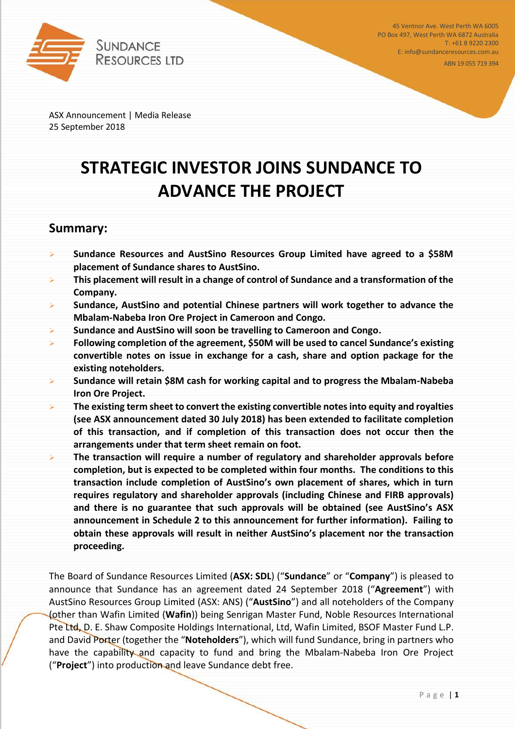

45 Ventnor Ave. West Perth WA 6005 PO Box 497, West Perth WA 6872 Australia T: +61 8 9220 2300 E: info@sundanceresources.com.au

ABN 19 055 719 394

ASX Announcement | Media Release 25 September 2018

# **STRATEGIC INVESTOR JOINS SUNDANCE TO ADVANCE THE PROJECT**

### **Summary:**

- ➢ **Sundance Resources and AustSino Resources Group Limited have agreed to a \$58M placement of Sundance shares to AustSino.**
- ➢ **This placement will result in a change of control of Sundance and a transformation of the Company.**
- ➢ **Sundance, AustSino and potential Chinese partners will work together to advance the Mbalam-Nabeba Iron Ore Project in Cameroon and Congo.**
- ➢ **Sundance and AustSino will soon be travelling to Cameroon and Congo.**
- ➢ **Following completion of the agreement, \$50M will be used to cancel Sundance's existing convertible notes on issue in exchange for a cash, share and option package for the existing noteholders.**
- ➢ **Sundance will retain \$8M cash for working capital and to progress the Mbalam-Nabeba Iron Ore Project.**
- ➢ **The existing term sheet to convert the existing convertible notes into equity and royalties (see ASX announcement dated 30 July 2018) has been extended to facilitate completion of this transaction, and if completion of this transaction does not occur then the arrangements under that term sheet remain on foot.**
- ➢ **The transaction will require a number of regulatory and shareholder approvals before completion, but is expected to be completed within four months. The conditions to this transaction include completion of AustSino's own placement of shares, which in turn requires regulatory and shareholder approvals (including Chinese and FIRB approvals) and there is no guarantee that such approvals will be obtained (see AustSino's ASX announcement in Schedule 2 to this announcement for further information). Failing to obtain these approvals will result in neither AustSino's placement nor the transaction proceeding.**

The Board of Sundance Resources Limited (**ASX: SDL**) ("**Sundance**" or "**Company**") is pleased to announce that Sundance has an agreement dated 24 September 2018 ("**Agreement**") with AustSino Resources Group Limited (ASX: ANS) ("**AustSino**") and all noteholders of the Company (other than Wafin Limited (**Wafin**)) being Senrigan Master Fund, Noble Resources International Pte Ltd, D. E. Shaw Composite Holdings International, Ltd, Wafin Limited, BSOF Master Fund L.P. and David Porter (together the "**Noteholders**"), which will fund Sundance, bring in partners who have the capability and capacity to fund and bring the Mbalam-Nabeba Iron Ore Project ("**Project**") into production and leave Sundance debt free.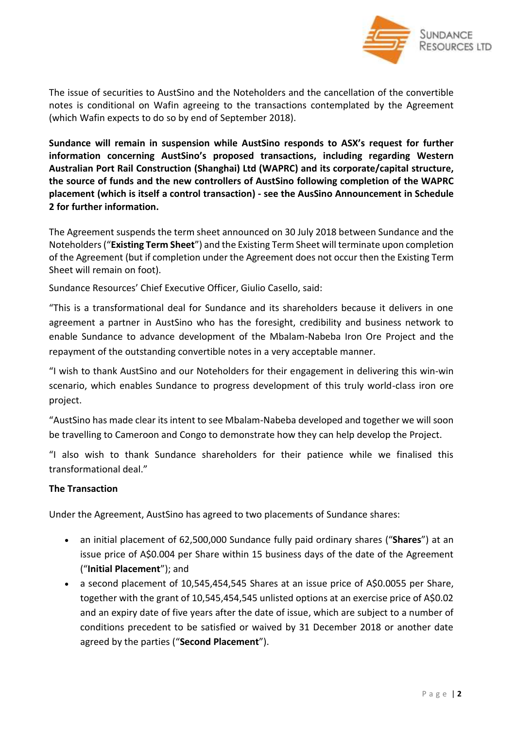

The issue of securities to AustSino and the Noteholders and the cancellation of the convertible notes is conditional on Wafin agreeing to the transactions contemplated by the Agreement (which Wafin expects to do so by end of September 2018).

**Sundance will remain in suspension while AustSino responds to ASX's request for further information concerning AustSino's proposed transactions, including regarding Western Australian Port Rail Construction (Shanghai) Ltd (WAPRC) and its corporate/capital structure, the source of funds and the new controllers of AustSino following completion of the WAPRC placement (which is itself a control transaction) - see the AusSino Announcement in Schedule 2 for further information.**

The Agreement suspends the term sheet announced on 30 July 2018 between Sundance and the Noteholders("**Existing Term Sheet**") and the Existing Term Sheet will terminate upon completion of the Agreement (but if completion under the Agreement does not occur then the Existing Term Sheet will remain on foot).

Sundance Resources' Chief Executive Officer, Giulio Casello, said:

"This is a transformational deal for Sundance and its shareholders because it delivers in one agreement a partner in AustSino who has the foresight, credibility and business network to enable Sundance to advance development of the Mbalam-Nabeba Iron Ore Project and the repayment of the outstanding convertible notes in a very acceptable manner.

"I wish to thank AustSino and our Noteholders for their engagement in delivering this win-win scenario, which enables Sundance to progress development of this truly world-class iron ore project.

"AustSino has made clear its intent to see Mbalam-Nabeba developed and together we will soon be travelling to Cameroon and Congo to demonstrate how they can help develop the Project.

"I also wish to thank Sundance shareholders for their patience while we finalised this transformational deal."

### **The Transaction**

Under the Agreement, AustSino has agreed to two placements of Sundance shares:

- an initial placement of 62,500,000 Sundance fully paid ordinary shares ("**Shares**") at an issue price of A\$0.004 per Share within 15 business days of the date of the Agreement ("**Initial Placement**"); and
- a second placement of 10,545,454,545 Shares at an issue price of A\$0.0055 per Share, together with the grant of 10,545,454,545 unlisted options at an exercise price of A\$0.02 and an expiry date of five years after the date of issue, which are subject to a number of conditions precedent to be satisfied or waived by 31 December 2018 or another date agreed by the parties ("**Second Placement**").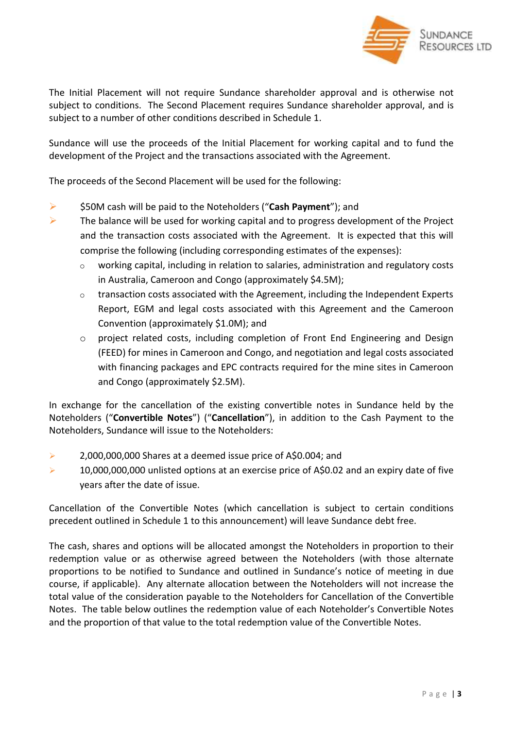

The Initial Placement will not require Sundance shareholder approval and is otherwise not subject to conditions. The Second Placement requires Sundance shareholder approval, and is subject to a number of other conditions described in Schedule 1.

Sundance will use the proceeds of the Initial Placement for working capital and to fund the development of the Project and the transactions associated with the Agreement.

The proceeds of the Second Placement will be used for the following:

- ➢ \$50M cash will be paid to the Noteholders ("**Cash Payment**"); and
- $\triangleright$  The balance will be used for working capital and to progress development of the Project and the transaction costs associated with the Agreement. It is expected that this will comprise the following (including corresponding estimates of the expenses):
	- $\circ$  working capital, including in relation to salaries, administration and regulatory costs in Australia, Cameroon and Congo (approximately \$4.5M);
	- $\circ$  transaction costs associated with the Agreement, including the Independent Experts Report, EGM and legal costs associated with this Agreement and the Cameroon Convention (approximately \$1.0M); and
	- o project related costs, including completion of Front End Engineering and Design (FEED) for mines in Cameroon and Congo, and negotiation and legal costs associated with financing packages and EPC contracts required for the mine sites in Cameroon and Congo (approximately \$2.5M).

In exchange for the cancellation of the existing convertible notes in Sundance held by the Noteholders ("**Convertible Notes**") ("**Cancellation**"), in addition to the Cash Payment to the Noteholders, Sundance will issue to the Noteholders:

- ➢ 2,000,000,000 Shares at a deemed issue price of A\$0.004; and
- $\triangleright$  10,000,000,000 unlisted options at an exercise price of A\$0.02 and an expiry date of five years after the date of issue.

Cancellation of the Convertible Notes (which cancellation is subject to certain conditions precedent outlined in Schedule 1 to this announcement) will leave Sundance debt free.

The cash, shares and options will be allocated amongst the Noteholders in proportion to their redemption value or as otherwise agreed between the Noteholders (with those alternate proportions to be notified to Sundance and outlined in Sundance's notice of meeting in due course, if applicable). Any alternate allocation between the Noteholders will not increase the total value of the consideration payable to the Noteholders for Cancellation of the Convertible Notes. The table below outlines the redemption value of each Noteholder's Convertible Notes and the proportion of that value to the total redemption value of the Convertible Notes.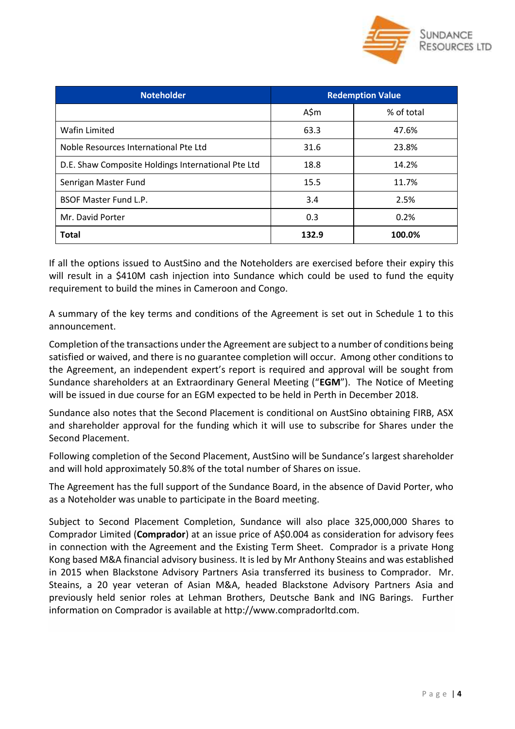

| <b>Noteholder</b>                                  | <b>Redemption Value</b> |            |  |
|----------------------------------------------------|-------------------------|------------|--|
|                                                    | A\$m                    | % of total |  |
| Wafin Limited                                      | 63.3                    | 47.6%      |  |
| Noble Resources International Pte Ltd              | 31.6                    | 23.8%      |  |
| D.E. Shaw Composite Holdings International Pte Ltd | 18.8                    | 14.2%      |  |
| Senrigan Master Fund                               | 15.5                    | 11.7%      |  |
| <b>BSOF Master Fund L.P.</b>                       | 3.4                     | 2.5%       |  |
| Mr. David Porter                                   | 0.3                     | 0.2%       |  |
| <b>Total</b>                                       | 132.9                   | 100.0%     |  |

If all the options issued to AustSino and the Noteholders are exercised before their expiry this will result in a \$410M cash injection into Sundance which could be used to fund the equity requirement to build the mines in Cameroon and Congo.

A summary of the key terms and conditions of the Agreement is set out in Schedule 1 to this announcement.

Completion of the transactions under the Agreement are subject to a number of conditions being satisfied or waived, and there is no guarantee completion will occur. Among other conditions to the Agreement, an independent expert's report is required and approval will be sought from Sundance shareholders at an Extraordinary General Meeting ("**EGM**"). The Notice of Meeting will be issued in due course for an EGM expected to be held in Perth in December 2018.

Sundance also notes that the Second Placement is conditional on AustSino obtaining FIRB, ASX and shareholder approval for the funding which it will use to subscribe for Shares under the Second Placement.

Following completion of the Second Placement, AustSino will be Sundance's largest shareholder and will hold approximately 50.8% of the total number of Shares on issue.

The Agreement has the full support of the Sundance Board, in the absence of David Porter, who as a Noteholder was unable to participate in the Board meeting.

Subject to Second Placement Completion, Sundance will also place 325,000,000 Shares to Comprador Limited (**Comprador**) at an issue price of A\$0.004 as consideration for advisory fees in connection with the Agreement and the Existing Term Sheet. Comprador is a private Hong Kong based M&A financial advisory business. It is led by Mr Anthony Steains and was established in 2015 when Blackstone Advisory Partners Asia transferred its business to Comprador. Mr. Steains, a 20 year veteran of Asian M&A, headed Blackstone Advisory Partners Asia and previously held senior roles at Lehman Brothers, Deutsche Bank and ING Barings. Further information on Comprador is available at http://www.compradorltd.com.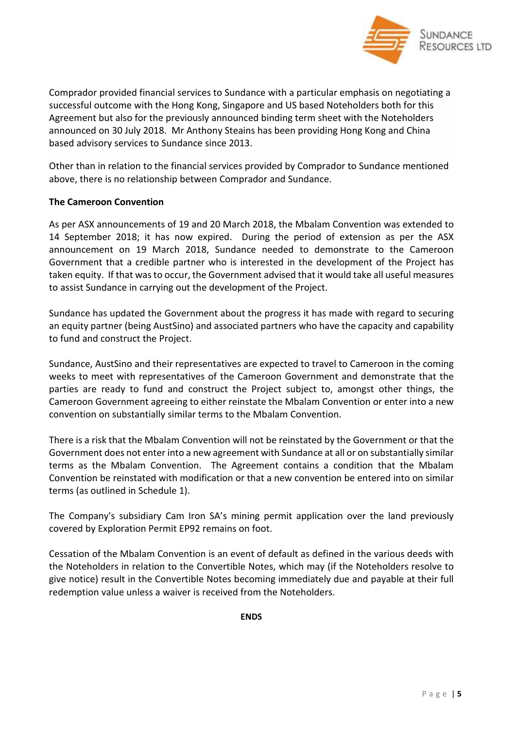

Comprador provided financial services to Sundance with a particular emphasis on negotiating a successful outcome with the Hong Kong, Singapore and US based Noteholders both for this Agreement but also for the previously announced binding term sheet with the Noteholders announced on 30 July 2018. Mr Anthony Steains has been providing Hong Kong and China based advisory services to Sundance since 2013.

Other than in relation to the financial services provided by Comprador to Sundance mentioned above, there is no relationship between Comprador and Sundance.

### **The Cameroon Convention**

As per ASX announcements of 19 and 20 March 2018, the Mbalam Convention was extended to 14 September 2018; it has now expired. During the period of extension as per the ASX announcement on 19 March 2018, Sundance needed to demonstrate to the Cameroon Government that a credible partner who is interested in the development of the Project has taken equity. If that wasto occur, the Government advised that it would take all useful measures to assist Sundance in carrying out the development of the Project.

Sundance has updated the Government about the progress it has made with regard to securing an equity partner (being AustSino) and associated partners who have the capacity and capability to fund and construct the Project.

Sundance, AustSino and their representatives are expected to travel to Cameroon in the coming weeks to meet with representatives of the Cameroon Government and demonstrate that the parties are ready to fund and construct the Project subject to, amongst other things, the Cameroon Government agreeing to either reinstate the Mbalam Convention or enter into a new convention on substantially similar terms to the Mbalam Convention.

There is a risk that the Mbalam Convention will not be reinstated by the Government or that the Government does not enter into a new agreement with Sundance at all or on substantially similar terms as the Mbalam Convention. The Agreement contains a condition that the Mbalam Convention be reinstated with modification or that a new convention be entered into on similar terms (as outlined in Schedule 1).

The Company's subsidiary Cam Iron SA's mining permit application over the land previously covered by Exploration Permit EP92 remains on foot.

Cessation of the Mbalam Convention is an event of default as defined in the various deeds with the Noteholders in relation to the Convertible Notes, which may (if the Noteholders resolve to give notice) result in the Convertible Notes becoming immediately due and payable at their full redemption value unless a waiver is received from the Noteholders.

**ENDS**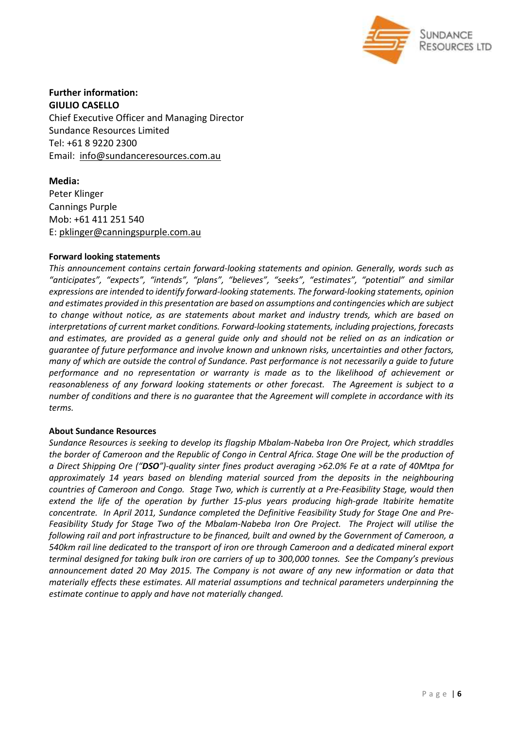

**Further information: GIULIO CASELLO** Chief Executive Officer and Managing Director Sundance Resources Limited Tel: +61 8 9220 2300 Email: [info@sundanceresources.com.au](mailto:info@sundanceresources.com.au)

**Media:** Peter Klinger Cannings Purple Mob: +61 411 251 540 E: [pklinger@canningspurple.com.au](mailto:pklinger@canningspurple.com.au)

### **Forward looking statements**

*This announcement contains certain forward-looking statements and opinion. Generally, words such as "anticipates", "expects", "intends", "plans", "believes", "seeks", "estimates", "potential" and similar expressions are intended to identify forward-looking statements. The forward-looking statements, opinion and estimates provided in this presentation are based on assumptions and contingencies which are subject to change without notice, as are statements about market and industry trends, which are based on interpretations of current market conditions. Forward-looking statements, including projections, forecasts* and estimates, are provided as a general guide only and should not be relied on as an indication or *guarantee of future performance and involve known and unknown risks, uncertainties and other factors,* many of which are outside the control of Sundance. Past performance is not necessarily a quide to future *performance and no representation or warranty is made as to the likelihood of achievement or reasonableness of any forward looking statements or other forecast. The Agreement is subject to a number of conditions and there is no guarantee that the Agreement will complete in accordance with its terms.*

### **About Sundance Resources**

*Sundance Resources is seeking to develop its flagship Mbalam-Nabeba Iron Ore Project, which straddles* the border of Cameroon and the Republic of Congo in Central Africa. Stage One will be the production of a Direct Shipping Ore ("DSO")-quality sinter fines product averaging >62.0% Fe at a rate of 40Mtpa for *approximately 14 years based on blending material sourced from the deposits in the neighbouring countries of Cameroon and Congo. Stage Two, which is currently at a Pre-Feasibility Stage, would then extend the life of the operation by further 15-plus years producing high-grade Itabirite hematite concentrate. In April 2011, Sundance completed the Definitive Feasibility Study for Stage One and Pre-Feasibility Study for Stage Two of the Mbalam-Nabeba Iron Ore Project. The Project will utilise the following rail and port infrastructure to be financed, built and owned by the Government of Cameroon, a 540km rail line dedicated to the transport of iron ore through Cameroon and a dedicated mineral export terminal designed for taking bulk iron ore carriers of up to 300,000 tonnes. See the Company's previous announcement dated 20 May 2015. The Company is not aware of any new information or data that materially effects these estimates. All material assumptions and technical parameters underpinning the estimate continue to apply and have not materially changed.*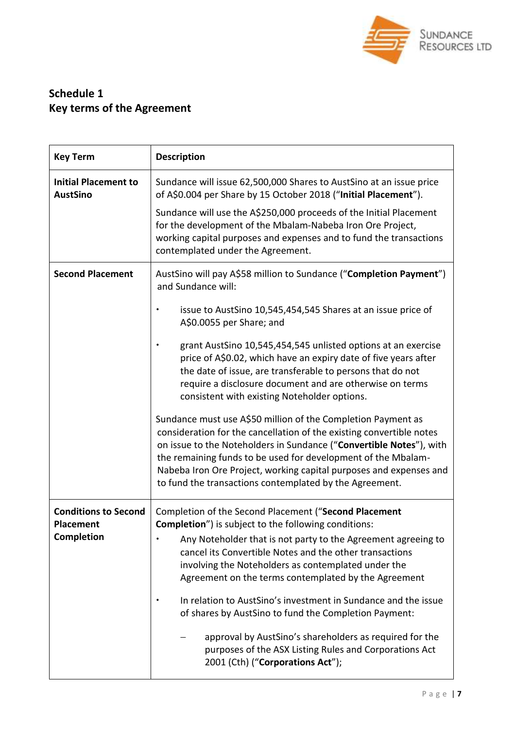

## **Schedule 1 Key terms of the Agreement**

| <b>Key Term</b>                                               | <b>Description</b>                                                                                                                                                                                                                                                                                                                                                                                                                                                                                                                                                                                                                                   |
|---------------------------------------------------------------|------------------------------------------------------------------------------------------------------------------------------------------------------------------------------------------------------------------------------------------------------------------------------------------------------------------------------------------------------------------------------------------------------------------------------------------------------------------------------------------------------------------------------------------------------------------------------------------------------------------------------------------------------|
| <b>Initial Placement to</b><br><b>AustSino</b>                | Sundance will issue 62,500,000 Shares to AustSino at an issue price<br>of A\$0.004 per Share by 15 October 2018 ("Initial Placement").                                                                                                                                                                                                                                                                                                                                                                                                                                                                                                               |
|                                                               | Sundance will use the A\$250,000 proceeds of the Initial Placement<br>for the development of the Mbalam-Nabeba Iron Ore Project,<br>working capital purposes and expenses and to fund the transactions<br>contemplated under the Agreement.                                                                                                                                                                                                                                                                                                                                                                                                          |
| <b>Second Placement</b>                                       | AustSino will pay A\$58 million to Sundance ("Completion Payment")<br>and Sundance will:                                                                                                                                                                                                                                                                                                                                                                                                                                                                                                                                                             |
|                                                               | issue to AustSino 10,545,454,545 Shares at an issue price of<br>A\$0.0055 per Share; and                                                                                                                                                                                                                                                                                                                                                                                                                                                                                                                                                             |
|                                                               | grant AustSino 10,545,454,545 unlisted options at an exercise<br>price of A\$0.02, which have an expiry date of five years after<br>the date of issue, are transferable to persons that do not<br>require a disclosure document and are otherwise on terms<br>consistent with existing Noteholder options.                                                                                                                                                                                                                                                                                                                                           |
|                                                               | Sundance must use A\$50 million of the Completion Payment as<br>consideration for the cancellation of the existing convertible notes<br>on issue to the Noteholders in Sundance ("Convertible Notes"), with<br>the remaining funds to be used for development of the Mbalam-<br>Nabeba Iron Ore Project, working capital purposes and expenses and<br>to fund the transactions contemplated by the Agreement.                                                                                                                                                                                                                                        |
| <b>Conditions to Second</b><br><b>Placement</b><br>Completion | Completion of the Second Placement ("Second Placement<br><b>Completion</b> ") is subject to the following conditions:<br>Any Noteholder that is not party to the Agreement agreeing to<br>cancel its Convertible Notes and the other transactions<br>involving the Noteholders as contemplated under the<br>Agreement on the terms contemplated by the Agreement<br>In relation to AustSino's investment in Sundance and the issue<br>of shares by AustSino to fund the Completion Payment:<br>approval by AustSino's shareholders as required for the<br>purposes of the ASX Listing Rules and Corporations Act<br>2001 (Cth) ("Corporations Act"); |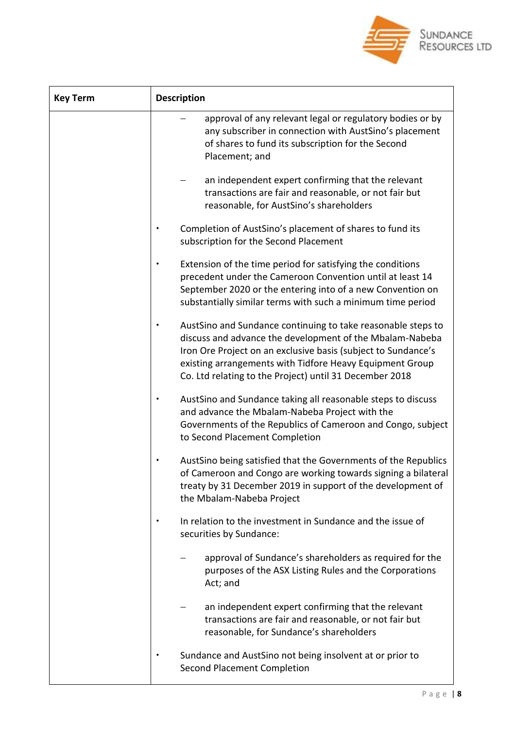

| <b>Key Term</b> | <b>Description</b>                                                                                                                                                                                                                                                                                               |
|-----------------|------------------------------------------------------------------------------------------------------------------------------------------------------------------------------------------------------------------------------------------------------------------------------------------------------------------|
|                 | approval of any relevant legal or regulatory bodies or by<br>any subscriber in connection with AustSino's placement<br>of shares to fund its subscription for the Second<br>Placement; and                                                                                                                       |
|                 | an independent expert confirming that the relevant<br>transactions are fair and reasonable, or not fair but<br>reasonable, for AustSino's shareholders                                                                                                                                                           |
|                 | Completion of AustSino's placement of shares to fund its<br>subscription for the Second Placement                                                                                                                                                                                                                |
|                 | Extension of the time period for satisfying the conditions<br>precedent under the Cameroon Convention until at least 14<br>September 2020 or the entering into of a new Convention on<br>substantially similar terms with such a minimum time period                                                             |
|                 | AustSino and Sundance continuing to take reasonable steps to<br>discuss and advance the development of the Mbalam-Nabeba<br>Iron Ore Project on an exclusive basis (subject to Sundance's<br>existing arrangements with Tidfore Heavy Equipment Group<br>Co. Ltd relating to the Project) until 31 December 2018 |
|                 | AustSino and Sundance taking all reasonable steps to discuss<br>and advance the Mbalam-Nabeba Project with the<br>Governments of the Republics of Cameroon and Congo, subject<br>to Second Placement Completion                                                                                                  |
|                 | AustSino being satisfied that the Governments of the Republics<br>of Cameroon and Congo are working towards signing a bilateral<br>treaty by 31 December 2019 in support of the development of<br>the Mbalam-Nabeba Project                                                                                      |
|                 | In relation to the investment in Sundance and the issue of<br>securities by Sundance:                                                                                                                                                                                                                            |
|                 | approval of Sundance's shareholders as required for the<br>purposes of the ASX Listing Rules and the Corporations<br>Act; and                                                                                                                                                                                    |
|                 | an independent expert confirming that the relevant<br>transactions are fair and reasonable, or not fair but<br>reasonable, for Sundance's shareholders                                                                                                                                                           |
|                 | Sundance and AustSino not being insolvent at or prior to<br><b>Second Placement Completion</b>                                                                                                                                                                                                                   |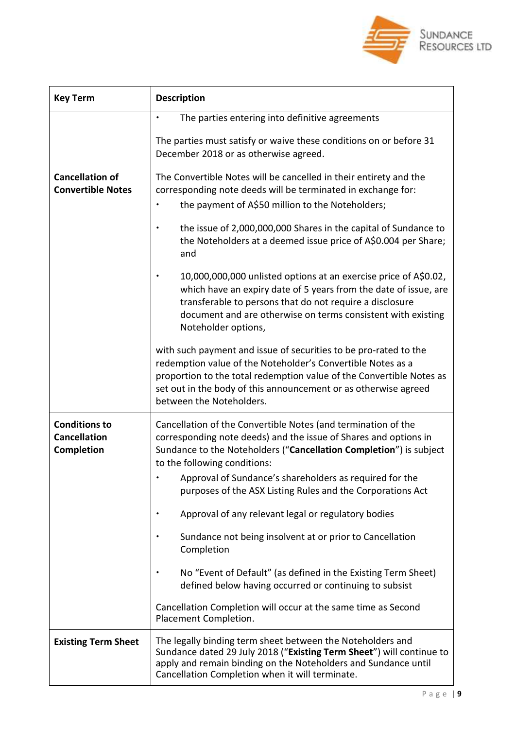

| <b>Key Term</b>                                           | <b>Description</b>                                                                                                                                                                                                                                                                                                                                                                                                                                                        |
|-----------------------------------------------------------|---------------------------------------------------------------------------------------------------------------------------------------------------------------------------------------------------------------------------------------------------------------------------------------------------------------------------------------------------------------------------------------------------------------------------------------------------------------------------|
|                                                           | The parties entering into definitive agreements                                                                                                                                                                                                                                                                                                                                                                                                                           |
|                                                           | The parties must satisfy or waive these conditions on or before 31<br>December 2018 or as otherwise agreed.                                                                                                                                                                                                                                                                                                                                                               |
| <b>Cancellation of</b><br><b>Convertible Notes</b>        | The Convertible Notes will be cancelled in their entirety and the<br>corresponding note deeds will be terminated in exchange for:<br>the payment of A\$50 million to the Noteholders;<br>the issue of 2,000,000,000 Shares in the capital of Sundance to<br>the Noteholders at a deemed issue price of A\$0.004 per Share;<br>and<br>10,000,000,000 unlisted options at an exercise price of A\$0.02,<br>which have an expiry date of 5 years from the date of issue, are |
|                                                           | transferable to persons that do not require a disclosure<br>document and are otherwise on terms consistent with existing<br>Noteholder options,                                                                                                                                                                                                                                                                                                                           |
|                                                           | with such payment and issue of securities to be pro-rated to the<br>redemption value of the Noteholder's Convertible Notes as a<br>proportion to the total redemption value of the Convertible Notes as<br>set out in the body of this announcement or as otherwise agreed<br>between the Noteholders.                                                                                                                                                                    |
| <b>Conditions to</b><br><b>Cancellation</b><br>Completion | Cancellation of the Convertible Notes (and termination of the<br>corresponding note deeds) and the issue of Shares and options in<br>Sundance to the Noteholders ("Cancellation Completion") is subject<br>to the following conditions:                                                                                                                                                                                                                                   |
|                                                           | Approval of Sundance's shareholders as required for the<br>purposes of the ASX Listing Rules and the Corporations Act                                                                                                                                                                                                                                                                                                                                                     |
|                                                           | Approval of any relevant legal or regulatory bodies                                                                                                                                                                                                                                                                                                                                                                                                                       |
|                                                           | Sundance not being insolvent at or prior to Cancellation<br>Completion                                                                                                                                                                                                                                                                                                                                                                                                    |
|                                                           | No "Event of Default" (as defined in the Existing Term Sheet)<br>defined below having occurred or continuing to subsist                                                                                                                                                                                                                                                                                                                                                   |
|                                                           | Cancellation Completion will occur at the same time as Second<br>Placement Completion.                                                                                                                                                                                                                                                                                                                                                                                    |
| <b>Existing Term Sheet</b>                                | The legally binding term sheet between the Noteholders and<br>Sundance dated 29 July 2018 ("Existing Term Sheet") will continue to<br>apply and remain binding on the Noteholders and Sundance until<br>Cancellation Completion when it will terminate.                                                                                                                                                                                                                   |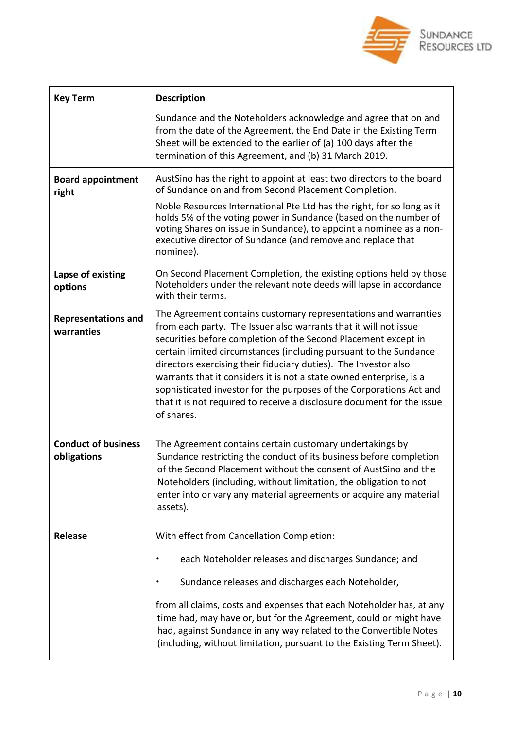

| <b>Key Term</b>                           | <b>Description</b>                                                                                                                                                                                                                                                                                                                                                                                                                                                                                                                                                                  |
|-------------------------------------------|-------------------------------------------------------------------------------------------------------------------------------------------------------------------------------------------------------------------------------------------------------------------------------------------------------------------------------------------------------------------------------------------------------------------------------------------------------------------------------------------------------------------------------------------------------------------------------------|
|                                           | Sundance and the Noteholders acknowledge and agree that on and<br>from the date of the Agreement, the End Date in the Existing Term<br>Sheet will be extended to the earlier of (a) 100 days after the<br>termination of this Agreement, and (b) 31 March 2019.                                                                                                                                                                                                                                                                                                                     |
| <b>Board appointment</b><br>right         | AustSino has the right to appoint at least two directors to the board<br>of Sundance on and from Second Placement Completion.                                                                                                                                                                                                                                                                                                                                                                                                                                                       |
|                                           | Noble Resources International Pte Ltd has the right, for so long as it<br>holds 5% of the voting power in Sundance (based on the number of<br>voting Shares on issue in Sundance), to appoint a nominee as a non-<br>executive director of Sundance (and remove and replace that<br>nominee).                                                                                                                                                                                                                                                                                       |
| Lapse of existing<br>options              | On Second Placement Completion, the existing options held by those<br>Noteholders under the relevant note deeds will lapse in accordance<br>with their terms.                                                                                                                                                                                                                                                                                                                                                                                                                       |
| <b>Representations and</b><br>warranties  | The Agreement contains customary representations and warranties<br>from each party. The Issuer also warrants that it will not issue<br>securities before completion of the Second Placement except in<br>certain limited circumstances (including pursuant to the Sundance<br>directors exercising their fiduciary duties). The Investor also<br>warrants that it considers it is not a state owned enterprise, is a<br>sophisticated investor for the purposes of the Corporations Act and<br>that it is not required to receive a disclosure document for the issue<br>of shares. |
| <b>Conduct of business</b><br>obligations | The Agreement contains certain customary undertakings by<br>Sundance restricting the conduct of its business before completion<br>of the Second Placement without the consent of AustSino and the<br>Noteholders (including, without limitation, the obligation to not<br>enter into or vary any material agreements or acquire any material<br>assets).                                                                                                                                                                                                                            |
| <b>Release</b>                            | With effect from Cancellation Completion:                                                                                                                                                                                                                                                                                                                                                                                                                                                                                                                                           |
|                                           | each Noteholder releases and discharges Sundance; and                                                                                                                                                                                                                                                                                                                                                                                                                                                                                                                               |
|                                           | Sundance releases and discharges each Noteholder,                                                                                                                                                                                                                                                                                                                                                                                                                                                                                                                                   |
|                                           | from all claims, costs and expenses that each Noteholder has, at any<br>time had, may have or, but for the Agreement, could or might have<br>had, against Sundance in any way related to the Convertible Notes<br>(including, without limitation, pursuant to the Existing Term Sheet).                                                                                                                                                                                                                                                                                             |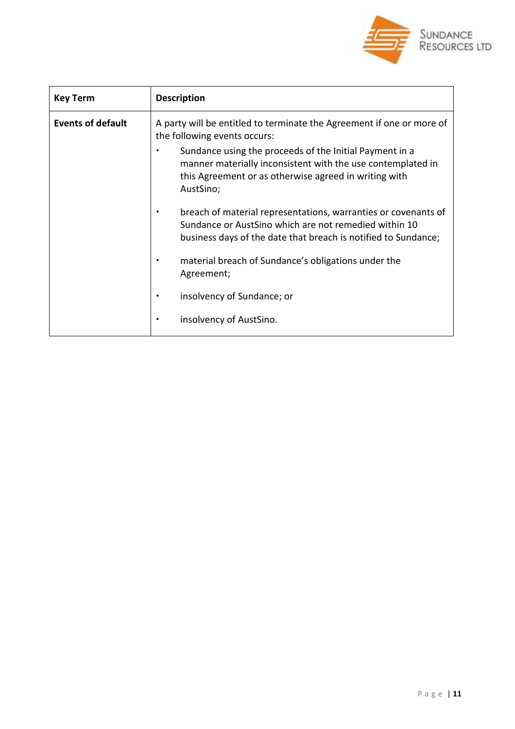

| <b>Key Term</b>          | <b>Description</b>                                                                                                                                                                           |
|--------------------------|----------------------------------------------------------------------------------------------------------------------------------------------------------------------------------------------|
| <b>Events of default</b> | A party will be entitled to terminate the Agreement if one or more of<br>the following events occurs:                                                                                        |
|                          | Sundance using the proceeds of the Initial Payment in a<br>manner materially inconsistent with the use contemplated in<br>this Agreement or as otherwise agreed in writing with<br>AustSino; |
|                          | breach of material representations, warranties or covenants of<br>Sundance or AustSino which are not remedied within 10<br>business days of the date that breach is notified to Sundance;    |
|                          | material breach of Sundance's obligations under the<br>Agreement;                                                                                                                            |
|                          | insolvency of Sundance; or                                                                                                                                                                   |
|                          | insolvency of AustSino.                                                                                                                                                                      |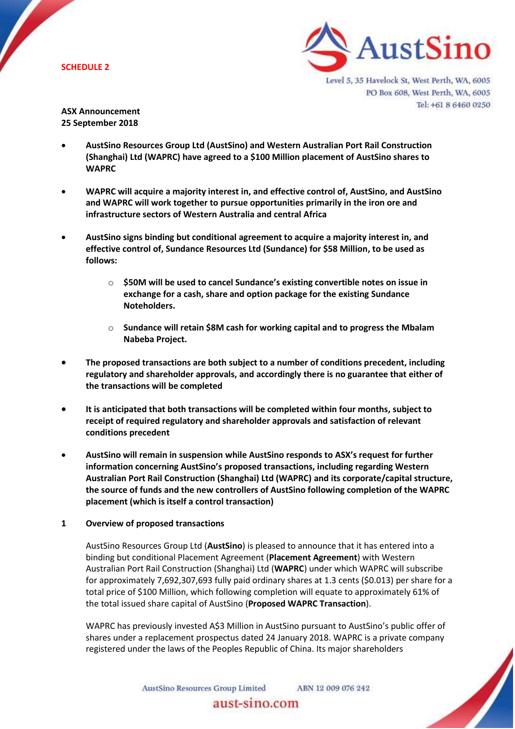

Level 5, 35 Havelock St, West Perth, WA, 6005 PO Box 608, West Perth, WA, 6005 Tel: +61 8 6460 0250

**ASX Announcement 25 September 2018**

- **AustSino Resources Group Ltd (AustSino) and Western Australian Port Rail Construction (Shanghai) Ltd (WAPRC) have agreed to a \$100 Million placement of AustSino shares to WAPRC**
- **WAPRC will acquire a majority interest in, and effective control of, AustSino, and AustSino and WAPRC will work together to pursue opportunities primarily in the iron ore and infrastructure sectors of Western Australia and central Africa**
- **AustSino signs binding but conditional agreement to acquire a majority interest in, and effective control of, Sundance Resources Ltd (Sundance) for \$58 Million, to be used as follows:**
	- o **\$50M will be used to cancel Sundance's existing convertible notes on issue in exchange for a cash, share and option package for the existing Sundance Noteholders.**
	- o **Sundance will retain \$8M cash for working capital and to progress the Mbalam Nabeba Project.**
- **The proposed transactions are both subject to a number of conditions precedent, including regulatory and shareholder approvals, and accordingly there is no guarantee that either of the transactions will be completed**
- **It is anticipated that both transactions will be completed within four months, subject to receipt of required regulatory and shareholder approvals and satisfaction of relevant conditions precedent**
- **AustSino will remain in suspension while AustSino responds to ASX's request for further information concerning AustSino's proposed transactions, including regarding Western Australian Port Rail Construction (Shanghai) Ltd (WAPRC) and its corporate/capital structure, the source of funds and the new controllers of AustSino following completion of the WAPRC placement (which is itself a control transaction)**

### **1 Overview of proposed transactions**

AustSino Resources Group Ltd (**AustSino**) is pleased to announce that it has entered into a binding but conditional Placement Agreement (**Placement Agreement**) with Western Australian Port Rail Construction (Shanghai) Ltd (**WAPRC**) under which WAPRC will subscribe for approximately 7,692,307,693 fully paid ordinary shares at 1.3 cents (\$0.013) per share for a total price of \$100 Million, which following completion will equate to approximately 61% of the total issued share capital of AustSino (**Proposed WAPRC Transaction**).

WAPRC has previously invested A\$3 Million in AustSino pursuant to AustSino's public offer of shares under a replacement prospectus dated 24 January 2018. WAPRC is a private company registered under the laws of the Peoples Republic of China. Its major shareholders

> AustSino Resources Group Limited aust-sino.com

ABN 12 009 076 242

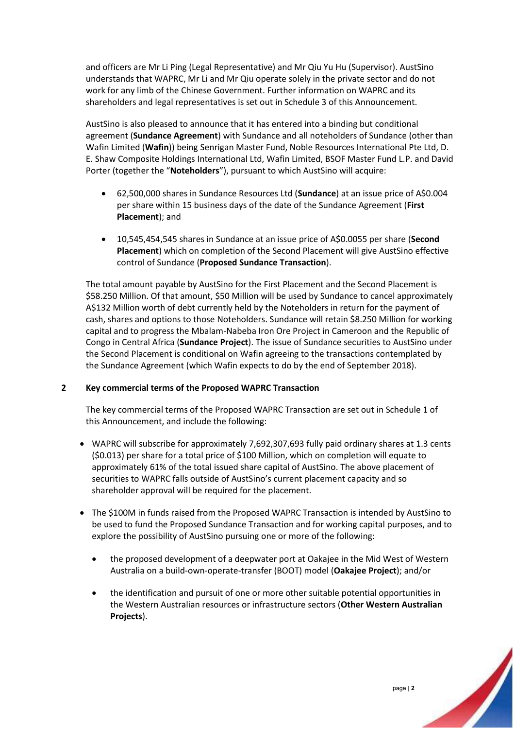and officers are Mr Li Ping (Legal Representative) and Mr Qiu Yu Hu (Supervisor). AustSino understands that WAPRC, Mr Li and Mr Qiu operate solely in the private sector and do not work for any limb of the Chinese Government. Further information on WAPRC and its shareholders and legal representatives is set out in Schedule 3 of this Announcement.

AustSino is also pleased to announce that it has entered into a binding but conditional agreement (**Sundance Agreement**) with Sundance and all noteholders of Sundance (other than Wafin Limited (**Wafin**)) being Senrigan Master Fund, Noble Resources International Pte Ltd, D. E. Shaw Composite Holdings International Ltd, Wafin Limited, BSOF Master Fund L.P. and David Porter (together the "**Noteholders**"), pursuant to which AustSino will acquire:

- 62,500,000 shares in Sundance Resources Ltd (**Sundance**) at an issue price of A\$0.004 per share within 15 business days of the date of the Sundance Agreement (**First Placement**); and
- 10,545,454,545 shares in Sundance at an issue price of A\$0.0055 per share (**Second Placement**) which on completion of the Second Placement will give AustSino effective control of Sundance (**Proposed Sundance Transaction**).

The total amount payable by AustSino for the First Placement and the Second Placement is \$58.250 Million. Of that amount, \$50 Million will be used by Sundance to cancel approximately A\$132 Million worth of debt currently held by the Noteholders in return for the payment of cash, shares and options to those Noteholders. Sundance will retain \$8.250 Million for working capital and to progress the Mbalam-Nabeba Iron Ore Project in Cameroon and the Republic of Congo in Central Africa (**Sundance Project**). The issue of Sundance securities to AustSino under the Second Placement is conditional on Wafin agreeing to the transactions contemplated by the Sundance Agreement (which Wafin expects to do by the end of September 2018).

### **2 Key commercial terms of the Proposed WAPRC Transaction**

The key commercial terms of the Proposed WAPRC Transaction are set out in Schedule 1 of this Announcement, and include the following:

- WAPRC will subscribe for approximately 7,692,307,693 fully paid ordinary shares at 1.3 cents (\$0.013) per share for a total price of \$100 Million, which on completion will equate to approximately 61% of the total issued share capital of AustSino. The above placement of securities to WAPRC falls outside of AustSino's current placement capacity and so shareholder approval will be required for the placement.
- The \$100M in funds raised from the Proposed WAPRC Transaction is intended by AustSino to be used to fund the Proposed Sundance Transaction and for working capital purposes, and to explore the possibility of AustSino pursuing one or more of the following:
	- the proposed development of a deepwater port at Oakajee in the Mid West of Western Australia on a build-own-operate-transfer (BOOT) model (**Oakajee Project**); and/or
	- the identification and pursuit of one or more other suitable potential opportunities in the Western Australian resources or infrastructure sectors (**Other Western Australian Projects**).

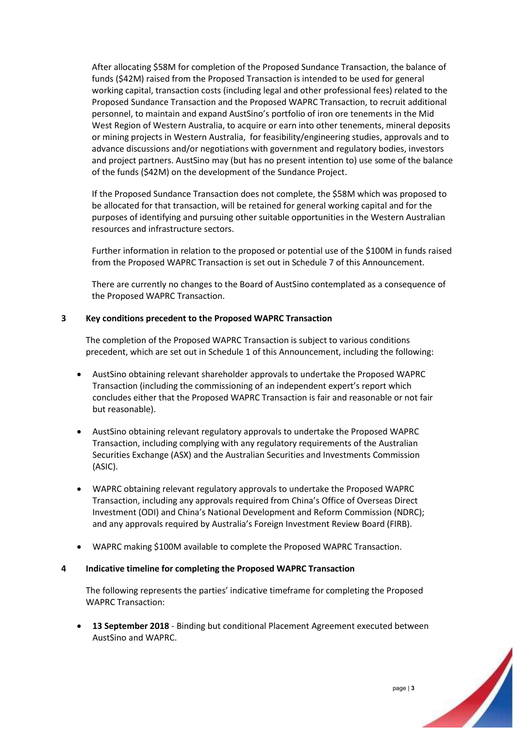After allocating \$58M for completion of the Proposed Sundance Transaction, the balance of funds (\$42M) raised from the Proposed Transaction is intended to be used for general working capital, transaction costs (including legal and other professional fees) related to the Proposed Sundance Transaction and the Proposed WAPRC Transaction, to recruit additional personnel, to maintain and expand AustSino's portfolio of iron ore tenements in the Mid West Region of Western Australia, to acquire or earn into other tenements, mineral deposits or mining projects in Western Australia, for feasibility/engineering studies, approvals and to advance discussions and/or negotiations with government and regulatory bodies, investors and project partners. AustSino may (but has no present intention to) use some of the balance of the funds (\$42M) on the development of the Sundance Project.

If the Proposed Sundance Transaction does not complete, the \$58M which was proposed to be allocated for that transaction, will be retained for general working capital and for the purposes of identifying and pursuing other suitable opportunities in the Western Australian resources and infrastructure sectors.

Further information in relation to the proposed or potential use of the \$100M in funds raised from the Proposed WAPRC Transaction is set out in Schedule 7 of this Announcement.

There are currently no changes to the Board of AustSino contemplated as a consequence of the Proposed WAPRC Transaction.

### **3 Key conditions precedent to the Proposed WAPRC Transaction**

The completion of the Proposed WAPRC Transaction is subject to various conditions precedent, which are set out in Schedule 1 of this Announcement, including the following:

- AustSino obtaining relevant shareholder approvals to undertake the Proposed WAPRC Transaction (including the commissioning of an independent expert's report which concludes either that the Proposed WAPRC Transaction is fair and reasonable or not fair but reasonable).
- AustSino obtaining relevant regulatory approvals to undertake the Proposed WAPRC Transaction, including complying with any regulatory requirements of the Australian Securities Exchange (ASX) and the Australian Securities and Investments Commission (ASIC).
- WAPRC obtaining relevant regulatory approvals to undertake the Proposed WAPRC Transaction, including any approvals required from China's Office of Overseas Direct Investment (ODI) and China's National Development and Reform Commission (NDRC); and any approvals required by Australia's Foreign Investment Review Board (FIRB).
- WAPRC making \$100M available to complete the Proposed WAPRC Transaction.

#### **4 Indicative timeline for completing the Proposed WAPRC Transaction**

The following represents the parties' indicative timeframe for completing the Proposed WAPRC Transaction:

• **13 September 2018** - Binding but conditional Placement Agreement executed between AustSino and WAPRC.

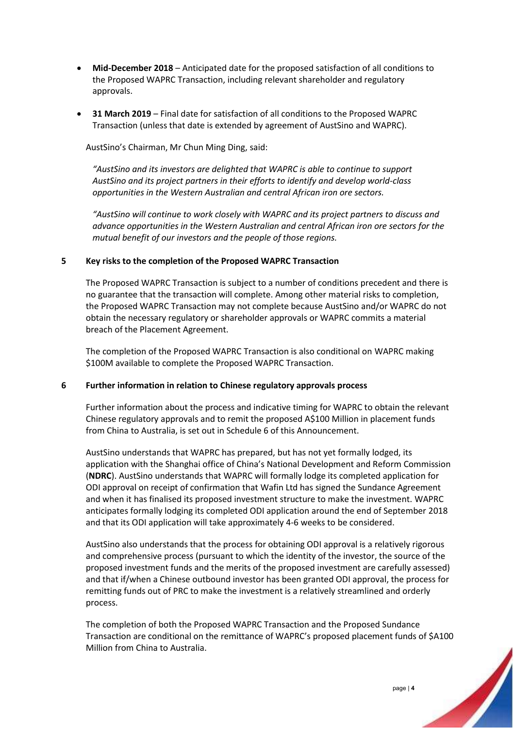- **Mid-December 2018** Anticipated date for the proposed satisfaction of all conditions to the Proposed WAPRC Transaction, including relevant shareholder and regulatory approvals.
- **31 March 2019**  Final date for satisfaction of all conditions to the Proposed WAPRC Transaction (unless that date is extended by agreement of AustSino and WAPRC).

AustSino's Chairman, Mr Chun Ming Ding, said:

*"AustSino and its investors are delighted that WAPRC is able to continue to support AustSino and its project partners in their efforts to identify and develop world-class opportunities in the Western Australian and central African iron ore sectors.*

*"AustSino will continue to work closely with WAPRC and its project partners to discuss and advance opportunities in the Western Australian and central African iron ore sectors for the mutual benefit of our investors and the people of those regions.*

### **5 Key risks to the completion of the Proposed WAPRC Transaction**

The Proposed WAPRC Transaction is subject to a number of conditions precedent and there is no guarantee that the transaction will complete. Among other material risks to completion, the Proposed WAPRC Transaction may not complete because AustSino and/or WAPRC do not obtain the necessary regulatory or shareholder approvals or WAPRC commits a material breach of the Placement Agreement.

The completion of the Proposed WAPRC Transaction is also conditional on WAPRC making \$100M available to complete the Proposed WAPRC Transaction.

### **6 Further information in relation to Chinese regulatory approvals process**

Further information about the process and indicative timing for WAPRC to obtain the relevant Chinese regulatory approvals and to remit the proposed A\$100 Million in placement funds from China to Australia, is set out in Schedule 6 of this Announcement.

AustSino understands that WAPRC has prepared, but has not yet formally lodged, its application with the Shanghai office of China's National Development and Reform Commission (**NDRC**). AustSino understands that WAPRC will formally lodge its completed application for ODI approval on receipt of confirmation that Wafin Ltd has signed the Sundance Agreement and when it has finalised its proposed investment structure to make the investment. WAPRC anticipates formally lodging its completed ODI application around the end of September 2018 and that its ODI application will take approximately 4-6 weeks to be considered.

AustSino also understands that the process for obtaining ODI approval is a relatively rigorous and comprehensive process (pursuant to which the identity of the investor, the source of the proposed investment funds and the merits of the proposed investment are carefully assessed) and that if/when a Chinese outbound investor has been granted ODI approval, the process for remitting funds out of PRC to make the investment is a relatively streamlined and orderly process.

The completion of both the Proposed WAPRC Transaction and the Proposed Sundance Transaction are conditional on the remittance of WAPRC's proposed placement funds of \$A100 Million from China to Australia.

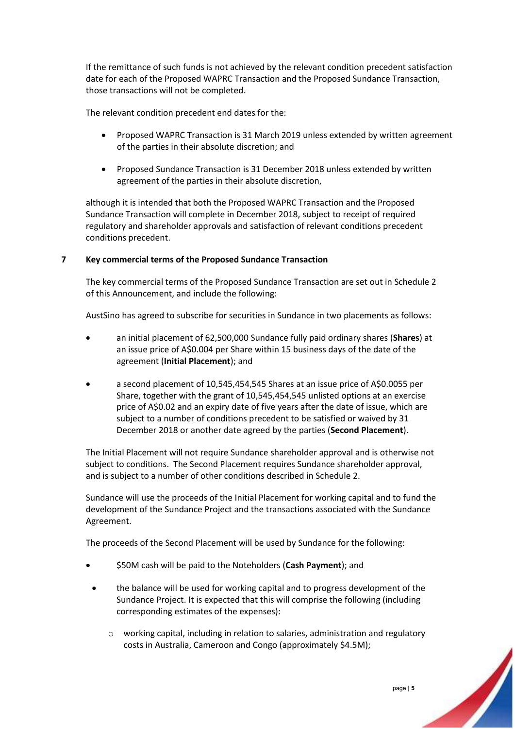If the remittance of such funds is not achieved by the relevant condition precedent satisfaction date for each of the Proposed WAPRC Transaction and the Proposed Sundance Transaction, those transactions will not be completed.

The relevant condition precedent end dates for the:

- Proposed WAPRC Transaction is 31 March 2019 unless extended by written agreement of the parties in their absolute discretion; and
- Proposed Sundance Transaction is 31 December 2018 unless extended by written agreement of the parties in their absolute discretion,

although it is intended that both the Proposed WAPRC Transaction and the Proposed Sundance Transaction will complete in December 2018, subject to receipt of required regulatory and shareholder approvals and satisfaction of relevant conditions precedent conditions precedent.

### **7 Key commercial terms of the Proposed Sundance Transaction**

The key commercial terms of the Proposed Sundance Transaction are set out in Schedule 2 of this Announcement, and include the following:

AustSino has agreed to subscribe for securities in Sundance in two placements as follows:

- an initial placement of 62,500,000 Sundance fully paid ordinary shares (**Shares**) at an issue price of A\$0.004 per Share within 15 business days of the date of the agreement (**Initial Placement**); and
- a second placement of 10,545,454,545 Shares at an issue price of A\$0.0055 per Share, together with the grant of 10,545,454,545 unlisted options at an exercise price of A\$0.02 and an expiry date of five years after the date of issue, which are subject to a number of conditions precedent to be satisfied or waived by 31 December 2018 or another date agreed by the parties (**Second Placement**).

The Initial Placement will not require Sundance shareholder approval and is otherwise not subject to conditions. The Second Placement requires Sundance shareholder approval, and is subject to a number of other conditions described in Schedule 2.

Sundance will use the proceeds of the Initial Placement for working capital and to fund the development of the Sundance Project and the transactions associated with the Sundance Agreement.

The proceeds of the Second Placement will be used by Sundance for the following:

- \$50M cash will be paid to the Noteholders (**Cash Payment**); and
- the balance will be used for working capital and to progress development of the Sundance Project. It is expected that this will comprise the following (including corresponding estimates of the expenses):
	- $\circ$  working capital, including in relation to salaries, administration and regulatory costs in Australia, Cameroon and Congo (approximately \$4.5M);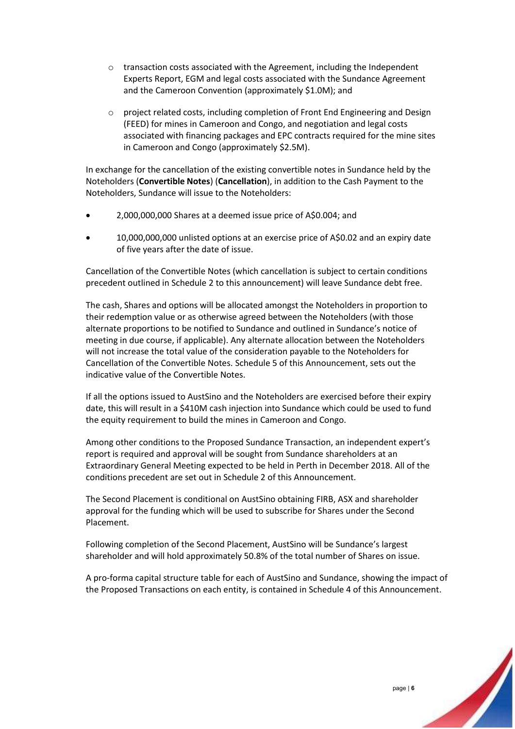- o transaction costs associated with the Agreement, including the Independent Experts Report, EGM and legal costs associated with the Sundance Agreement and the Cameroon Convention (approximately \$1.0M); and
- o project related costs, including completion of Front End Engineering and Design (FEED) for mines in Cameroon and Congo, and negotiation and legal costs associated with financing packages and EPC contracts required for the mine sites in Cameroon and Congo (approximately \$2.5M).

In exchange for the cancellation of the existing convertible notes in Sundance held by the Noteholders (**Convertible Notes**) (**Cancellation**), in addition to the Cash Payment to the Noteholders, Sundance will issue to the Noteholders:

- 2,000,000,000 Shares at a deemed issue price of A\$0.004; and
- 10,000,000,000 unlisted options at an exercise price of A\$0.02 and an expiry date of five years after the date of issue.

Cancellation of the Convertible Notes (which cancellation is subject to certain conditions precedent outlined in Schedule 2 to this announcement) will leave Sundance debt free.

The cash, Shares and options will be allocated amongst the Noteholders in proportion to their redemption value or as otherwise agreed between the Noteholders (with those alternate proportions to be notified to Sundance and outlined in Sundance's notice of meeting in due course, if applicable). Any alternate allocation between the Noteholders will not increase the total value of the consideration payable to the Noteholders for Cancellation of the Convertible Notes. Schedule 5 of this Announcement, sets out the indicative value of the Convertible Notes.

If all the options issued to AustSino and the Noteholders are exercised before their expiry date, this will result in a \$410M cash injection into Sundance which could be used to fund the equity requirement to build the mines in Cameroon and Congo.

Among other conditions to the Proposed Sundance Transaction, an independent expert's report is required and approval will be sought from Sundance shareholders at an Extraordinary General Meeting expected to be held in Perth in December 2018. All of the conditions precedent are set out in Schedule 2 of this Announcement.

The Second Placement is conditional on AustSino obtaining FIRB, ASX and shareholder approval for the funding which will be used to subscribe for Shares under the Second Placement.

Following completion of the Second Placement, AustSino will be Sundance's largest shareholder and will hold approximately 50.8% of the total number of Shares on issue.

A pro-forma capital structure table for each of AustSino and Sundance, showing the impact of the Proposed Transactions on each entity, is contained in Schedule 4 of this Announcement.

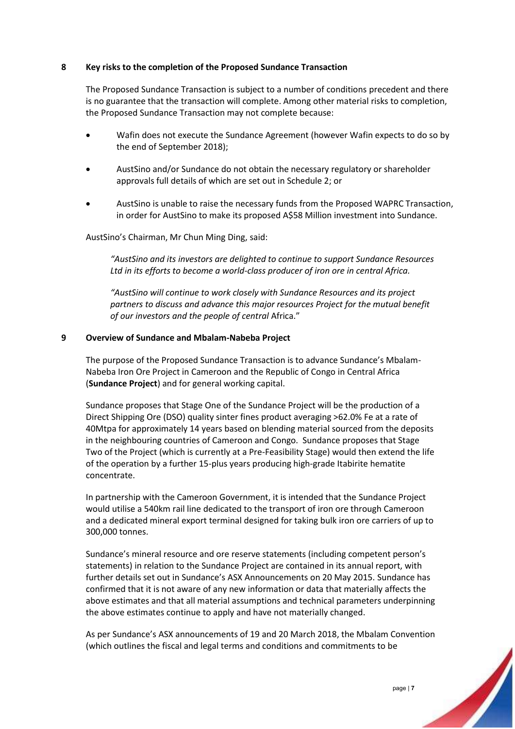### **8 Key risks to the completion of the Proposed Sundance Transaction**

The Proposed Sundance Transaction is subject to a number of conditions precedent and there is no guarantee that the transaction will complete. Among other material risks to completion, the Proposed Sundance Transaction may not complete because:

- Wafin does not execute the Sundance Agreement (however Wafin expects to do so by the end of September 2018);
- AustSino and/or Sundance do not obtain the necessary regulatory or shareholder approvals full details of which are set out in Schedule 2; or
- AustSino is unable to raise the necessary funds from the Proposed WAPRC Transaction, in order for AustSino to make its proposed A\$58 Million investment into Sundance.

AustSino's Chairman, Mr Chun Ming Ding, said:

*"AustSino and its investors are delighted to continue to support Sundance Resources Ltd in its efforts to become a world-class producer of iron ore in central Africa.*

*"AustSino will continue to work closely with Sundance Resources and its project partners to discuss and advance this major resources Project for the mutual benefit of our investors and the people of central* Africa."

### **9 Overview of Sundance and Mbalam-Nabeba Project**

The purpose of the Proposed Sundance Transaction is to advance Sundance's Mbalam-Nabeba Iron Ore Project in Cameroon and the Republic of Congo in Central Africa (**Sundance Project**) and for general working capital.

Sundance proposes that Stage One of the Sundance Project will be the production of a Direct Shipping Ore (DSO) quality sinter fines product averaging >62.0% Fe at a rate of 40Mtpa for approximately 14 years based on blending material sourced from the deposits in the neighbouring countries of Cameroon and Congo. Sundance proposes that Stage Two of the Project (which is currently at a Pre-Feasibility Stage) would then extend the life of the operation by a further 15-plus years producing high-grade Itabirite hematite concentrate.

In partnership with the Cameroon Government, it is intended that the Sundance Project would utilise a 540km rail line dedicated to the transport of iron ore through Cameroon and a dedicated mineral export terminal designed for taking bulk iron ore carriers of up to 300,000 tonnes.

Sundance's mineral resource and ore reserve statements (including competent person's statements) in relation to the Sundance Project are contained in its annual report, with further details set out in Sundance's ASX Announcements on 20 May 2015. Sundance has confirmed that it is not aware of any new information or data that materially affects the above estimates and that all material assumptions and technical parameters underpinning the above estimates continue to apply and have not materially changed.

As per Sundance's ASX announcements of 19 and 20 March 2018, the Mbalam Convention (which outlines the fiscal and legal terms and conditions and commitments to be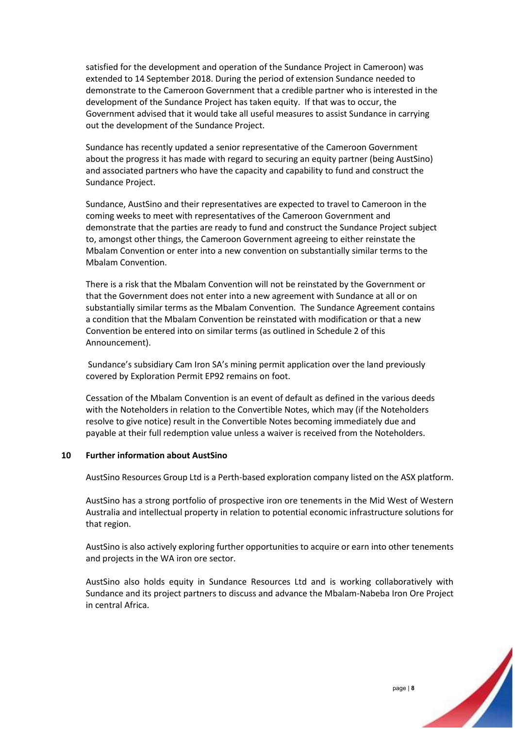satisfied for the development and operation of the Sundance Project in Cameroon) was extended to 14 September 2018. During the period of extension Sundance needed to demonstrate to the Cameroon Government that a credible partner who is interested in the development of the Sundance Project has taken equity. If that was to occur, the Government advised that it would take all useful measures to assist Sundance in carrying out the development of the Sundance Project.

Sundance has recently updated a senior representative of the Cameroon Government about the progress it has made with regard to securing an equity partner (being AustSino) and associated partners who have the capacity and capability to fund and construct the Sundance Project.

Sundance, AustSino and their representatives are expected to travel to Cameroon in the coming weeks to meet with representatives of the Cameroon Government and demonstrate that the parties are ready to fund and construct the Sundance Project subject to, amongst other things, the Cameroon Government agreeing to either reinstate the Mbalam Convention or enter into a new convention on substantially similar terms to the Mbalam Convention.

There is a risk that the Mbalam Convention will not be reinstated by the Government or that the Government does not enter into a new agreement with Sundance at all or on substantially similar terms as the Mbalam Convention. The Sundance Agreement contains a condition that the Mbalam Convention be reinstated with modification or that a new Convention be entered into on similar terms (as outlined in Schedule 2 of this Announcement).

Sundance's subsidiary Cam Iron SA's mining permit application over the land previously covered by Exploration Permit EP92 remains on foot.

Cessation of the Mbalam Convention is an event of default as defined in the various deeds with the Noteholders in relation to the Convertible Notes, which may (if the Noteholders resolve to give notice) result in the Convertible Notes becoming immediately due and payable at their full redemption value unless a waiver is received from the Noteholders.

### **10 Further information about AustSino**

AustSino Resources Group Ltd is a Perth-based exploration company listed on the ASX platform.

AustSino has a strong portfolio of prospective iron ore tenements in the Mid West of Western Australia and intellectual property in relation to potential economic infrastructure solutions for that region.

AustSino is also actively exploring further opportunities to acquire or earn into other tenements and projects in the WA iron ore sector.

AustSino also holds equity in Sundance Resources Ltd and is working collaboratively with Sundance and its project partners to discuss and advance the Mbalam-Nabeba Iron Ore Project in central Africa.

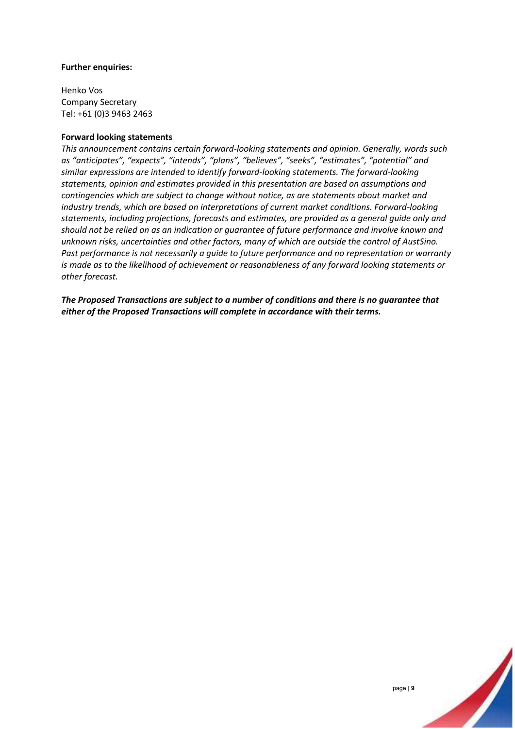### **Further enquiries:**

Henko Vos Company Secretary Tel: +61 (0)3 9463 2463

### **Forward looking statements**

*This announcement contains certain forward-looking statements and opinion. Generally, words such as "anticipates", "expects", "intends", "plans", "believes", "seeks", "estimates", "potential" and similar expressions are intended to identify forward-looking statements. The forward-looking statements, opinion and estimates provided in this presentation are based on assumptions and contingencies which are subject to change without notice, as are statements about market and industry trends, which are based on interpretations of current market conditions. Forward-looking statements, including projections, forecasts and estimates, are provided as a general guide only and should not be relied on as an indication or guarantee of future performance and involve known and unknown risks, uncertainties and other factors, many of which are outside the control of AustSino. Past performance is not necessarily a guide to future performance and no representation or warranty is made as to the likelihood of achievement or reasonableness of any forward looking statements or other forecast.* 

*The Proposed Transactions are subject to a number of conditions and there is no guarantee that either of the Proposed Transactions will complete in accordance with their terms.*

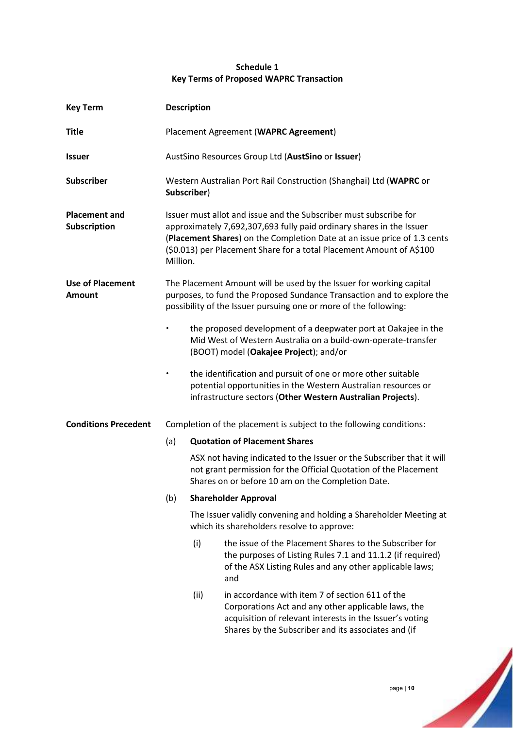### **Schedule 1 Key Terms of Proposed WAPRC Transaction**

| <b>Key Term</b>                          | <b>Description</b>                                                                                                                                                                                                                                                                                        |      |                                                                                                                                                                                                                           |
|------------------------------------------|-----------------------------------------------------------------------------------------------------------------------------------------------------------------------------------------------------------------------------------------------------------------------------------------------------------|------|---------------------------------------------------------------------------------------------------------------------------------------------------------------------------------------------------------------------------|
| <b>Title</b>                             |                                                                                                                                                                                                                                                                                                           |      | Placement Agreement (WAPRC Agreement)                                                                                                                                                                                     |
| <b>Issuer</b>                            | AustSino Resources Group Ltd (AustSino or Issuer)                                                                                                                                                                                                                                                         |      |                                                                                                                                                                                                                           |
| <b>Subscriber</b>                        | Western Australian Port Rail Construction (Shanghai) Ltd (WAPRC or<br>Subscriber)                                                                                                                                                                                                                         |      |                                                                                                                                                                                                                           |
| <b>Placement and</b><br>Subscription     | Issuer must allot and issue and the Subscriber must subscribe for<br>approximately 7,692,307,693 fully paid ordinary shares in the Issuer<br>(Placement Shares) on the Completion Date at an issue price of 1.3 cents<br>(\$0.013) per Placement Share for a total Placement Amount of A\$100<br>Million. |      |                                                                                                                                                                                                                           |
| <b>Use of Placement</b><br><b>Amount</b> | The Placement Amount will be used by the Issuer for working capital<br>purposes, to fund the Proposed Sundance Transaction and to explore the<br>possibility of the Issuer pursuing one or more of the following:                                                                                         |      |                                                                                                                                                                                                                           |
|                                          |                                                                                                                                                                                                                                                                                                           |      | the proposed development of a deepwater port at Oakajee in the<br>Mid West of Western Australia on a build-own-operate-transfer<br>(BOOT) model (Oakajee Project); and/or                                                 |
|                                          | $\bullet$                                                                                                                                                                                                                                                                                                 |      | the identification and pursuit of one or more other suitable<br>potential opportunities in the Western Australian resources or<br>infrastructure sectors (Other Western Australian Projects).                             |
| <b>Conditions Precedent</b>              |                                                                                                                                                                                                                                                                                                           |      | Completion of the placement is subject to the following conditions:                                                                                                                                                       |
|                                          | (a)                                                                                                                                                                                                                                                                                                       |      | <b>Quotation of Placement Shares</b>                                                                                                                                                                                      |
|                                          |                                                                                                                                                                                                                                                                                                           |      | ASX not having indicated to the Issuer or the Subscriber that it will<br>not grant permission for the Official Quotation of the Placement<br>Shares on or before 10 am on the Completion Date.                            |
|                                          | (b)                                                                                                                                                                                                                                                                                                       |      | <b>Shareholder Approval</b>                                                                                                                                                                                               |
|                                          |                                                                                                                                                                                                                                                                                                           |      | The Issuer validly convening and holding a Shareholder Meeting at<br>which its shareholders resolve to approve:                                                                                                           |
|                                          |                                                                                                                                                                                                                                                                                                           | (i)  | the issue of the Placement Shares to the Subscriber for<br>the purposes of Listing Rules 7.1 and 11.1.2 (if required)<br>of the ASX Listing Rules and any other applicable laws;<br>and                                   |
|                                          |                                                                                                                                                                                                                                                                                                           | (ii) | in accordance with item 7 of section 611 of the<br>Corporations Act and any other applicable laws, the<br>acquisition of relevant interests in the Issuer's voting<br>Shares by the Subscriber and its associates and (if |

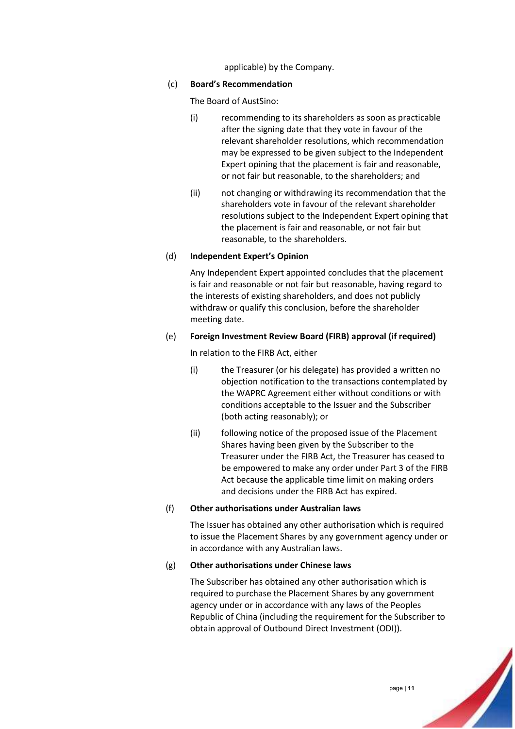applicable) by the Company.

### (c) **Board's Recommendation**

The Board of AustSino:

- (i) recommending to its shareholders as soon as practicable after the signing date that they vote in favour of the relevant shareholder resolutions, which recommendation may be expressed to be given subject to the Independent Expert opining that the placement is fair and reasonable, or not fair but reasonable, to the shareholders; and
- (ii) not changing or withdrawing its recommendation that the shareholders vote in favour of the relevant shareholder resolutions subject to the Independent Expert opining that the placement is fair and reasonable, or not fair but reasonable, to the shareholders.

### (d) **Independent Expert's Opinion**

Any Independent Expert appointed concludes that the placement is fair and reasonable or not fair but reasonable, having regard to the interests of existing shareholders, and does not publicly withdraw or qualify this conclusion, before the shareholder meeting date.

### (e) **Foreign Investment Review Board (FIRB) approval (if required)**

In relation to the FIRB Act, either

- (i) the Treasurer (or his delegate) has provided a written no objection notification to the transactions contemplated by the WAPRC Agreement either without conditions or with conditions acceptable to the Issuer and the Subscriber (both acting reasonably); or
- (ii) following notice of the proposed issue of the Placement Shares having been given by the Subscriber to the Treasurer under the FIRB Act, the Treasurer has ceased to be empowered to make any order under Part 3 of the FIRB Act because the applicable time limit on making orders and decisions under the FIRB Act has expired.

### (f) **Other authorisations under Australian laws**

The Issuer has obtained any other authorisation which is required to issue the Placement Shares by any government agency under or in accordance with any Australian laws.

### (g) **Other authorisations under Chinese laws**

The Subscriber has obtained any other authorisation which is required to purchase the Placement Shares by any government agency under or in accordance with any laws of the Peoples Republic of China (including the requirement for the Subscriber to obtain approval of Outbound Direct Investment (ODI)).

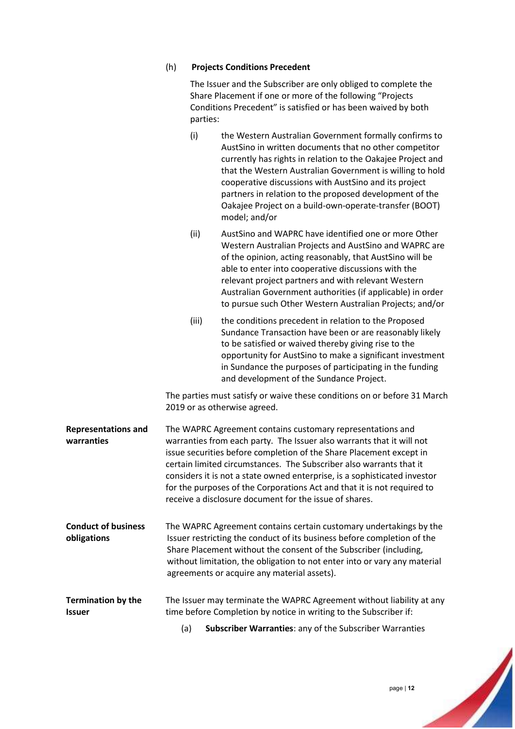### (h) **Projects Conditions Precedent**

The Issuer and the Subscriber are only obliged to complete the Share Placement if one or more of the following "Projects Conditions Precedent" is satisfied or has been waived by both parties:

|                                            | (i)   | the Western Australian Government formally confirms to<br>AustSino in written documents that no other competitor<br>currently has rights in relation to the Oakajee Project and<br>that the Western Australian Government is willing to hold<br>cooperative discussions with AustSino and its project<br>partners in relation to the proposed development of the<br>Oakajee Project on a build-own-operate-transfer (BOOT)<br>model; and/or                                                         |
|--------------------------------------------|-------|-----------------------------------------------------------------------------------------------------------------------------------------------------------------------------------------------------------------------------------------------------------------------------------------------------------------------------------------------------------------------------------------------------------------------------------------------------------------------------------------------------|
|                                            | (ii)  | AustSino and WAPRC have identified one or more Other<br>Western Australian Projects and AustSino and WAPRC are<br>of the opinion, acting reasonably, that AustSino will be<br>able to enter into cooperative discussions with the<br>relevant project partners and with relevant Western<br>Australian Government authorities (if applicable) in order<br>to pursue such Other Western Australian Projects; and/or                                                                                  |
|                                            | (iii) | the conditions precedent in relation to the Proposed<br>Sundance Transaction have been or are reasonably likely<br>to be satisfied or waived thereby giving rise to the<br>opportunity for AustSino to make a significant investment<br>in Sundance the purposes of participating in the funding<br>and development of the Sundance Project.                                                                                                                                                        |
|                                            |       | The parties must satisfy or waive these conditions on or before 31 March<br>2019 or as otherwise agreed.                                                                                                                                                                                                                                                                                                                                                                                            |
| <b>Representations and</b><br>warranties   |       | The WAPRC Agreement contains customary representations and<br>warranties from each party. The Issuer also warrants that it will not<br>issue securities before completion of the Share Placement except in<br>certain limited circumstances. The Subscriber also warrants that it<br>considers it is not a state owned enterprise, is a sophisticated investor<br>for the purposes of the Corporations Act and that it is not required to<br>receive a disclosure document for the issue of shares. |
| <b>Conduct of business</b><br>obligations  |       | The WAPRC Agreement contains certain customary undertakings by the<br>Issuer restricting the conduct of its business before completion of the<br>Share Placement without the consent of the Subscriber (including,<br>without limitation, the obligation to not enter into or vary any material<br>agreements or acquire any material assets).                                                                                                                                                      |
| <b>Termination by the</b><br><b>Issuer</b> |       | The Issuer may terminate the WAPRC Agreement without liability at any<br>time before Completion by notice in writing to the Subscriber if:                                                                                                                                                                                                                                                                                                                                                          |
|                                            | (a)   | <b>Subscriber Warranties: any of the Subscriber Warranties</b>                                                                                                                                                                                                                                                                                                                                                                                                                                      |

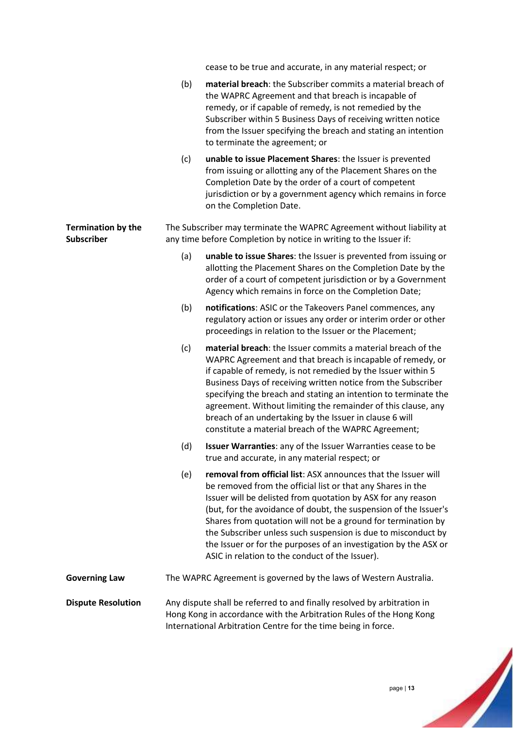cease to be true and accurate, in any material respect; or

|                                                | (b)                                                                                                                                                                                                             | material breach: the Subscriber commits a material breach of<br>the WAPRC Agreement and that breach is incapable of<br>remedy, or if capable of remedy, is not remedied by the<br>Subscriber within 5 Business Days of receiving written notice<br>from the Issuer specifying the breach and stating an intention<br>to terminate the agreement; or                                                                                                                                                                        |
|------------------------------------------------|-----------------------------------------------------------------------------------------------------------------------------------------------------------------------------------------------------------------|----------------------------------------------------------------------------------------------------------------------------------------------------------------------------------------------------------------------------------------------------------------------------------------------------------------------------------------------------------------------------------------------------------------------------------------------------------------------------------------------------------------------------|
|                                                | (c)                                                                                                                                                                                                             | unable to issue Placement Shares: the Issuer is prevented<br>from issuing or allotting any of the Placement Shares on the<br>Completion Date by the order of a court of competent<br>jurisdiction or by a government agency which remains in force<br>on the Completion Date.                                                                                                                                                                                                                                              |
| <b>Termination by the</b><br><b>Subscriber</b> |                                                                                                                                                                                                                 | The Subscriber may terminate the WAPRC Agreement without liability at<br>any time before Completion by notice in writing to the Issuer if:                                                                                                                                                                                                                                                                                                                                                                                 |
|                                                | (a)                                                                                                                                                                                                             | unable to issue Shares: the Issuer is prevented from issuing or<br>allotting the Placement Shares on the Completion Date by the<br>order of a court of competent jurisdiction or by a Government<br>Agency which remains in force on the Completion Date;                                                                                                                                                                                                                                                                  |
|                                                | (b)                                                                                                                                                                                                             | notifications: ASIC or the Takeovers Panel commences, any<br>regulatory action or issues any order or interim order or other<br>proceedings in relation to the Issuer or the Placement;                                                                                                                                                                                                                                                                                                                                    |
|                                                | (c)                                                                                                                                                                                                             | material breach: the Issuer commits a material breach of the<br>WAPRC Agreement and that breach is incapable of remedy, or<br>if capable of remedy, is not remedied by the Issuer within 5<br>Business Days of receiving written notice from the Subscriber<br>specifying the breach and stating an intention to terminate the<br>agreement. Without limiting the remainder of this clause, any<br>breach of an undertaking by the Issuer in clause 6 will<br>constitute a material breach of the WAPRC Agreement;         |
|                                                | (d)                                                                                                                                                                                                             | Issuer Warranties: any of the Issuer Warranties cease to be<br>true and accurate, in any material respect; or                                                                                                                                                                                                                                                                                                                                                                                                              |
|                                                | (e)                                                                                                                                                                                                             | removal from official list: ASX announces that the Issuer will<br>be removed from the official list or that any Shares in the<br>Issuer will be delisted from quotation by ASX for any reason<br>(but, for the avoidance of doubt, the suspension of the Issuer's<br>Shares from quotation will not be a ground for termination by<br>the Subscriber unless such suspension is due to misconduct by<br>the Issuer or for the purposes of an investigation by the ASX or<br>ASIC in relation to the conduct of the Issuer). |
| <b>Governing Law</b>                           | The WAPRC Agreement is governed by the laws of Western Australia.                                                                                                                                               |                                                                                                                                                                                                                                                                                                                                                                                                                                                                                                                            |
| <b>Dispute Resolution</b>                      | Any dispute shall be referred to and finally resolved by arbitration in<br>Hong Kong in accordance with the Arbitration Rules of the Hong Kong<br>International Arbitration Centre for the time being in force. |                                                                                                                                                                                                                                                                                                                                                                                                                                                                                                                            |

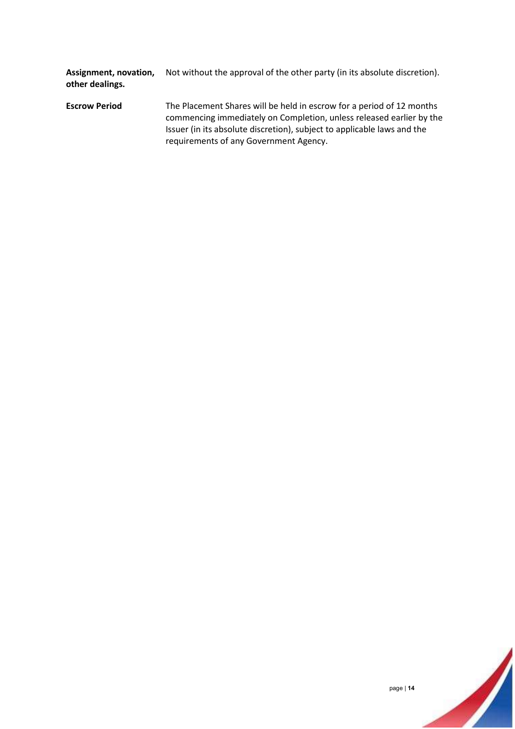**Assignment, novation, other dealings.** Not without the approval of the other party (in its absolute discretion).

**Escrow Period** The Placement Shares will be held in escrow for a period of 12 months commencing immediately on Completion, unless released earlier by the Issuer (in its absolute discretion), subject to applicable laws and the requirements of any Government Agency.

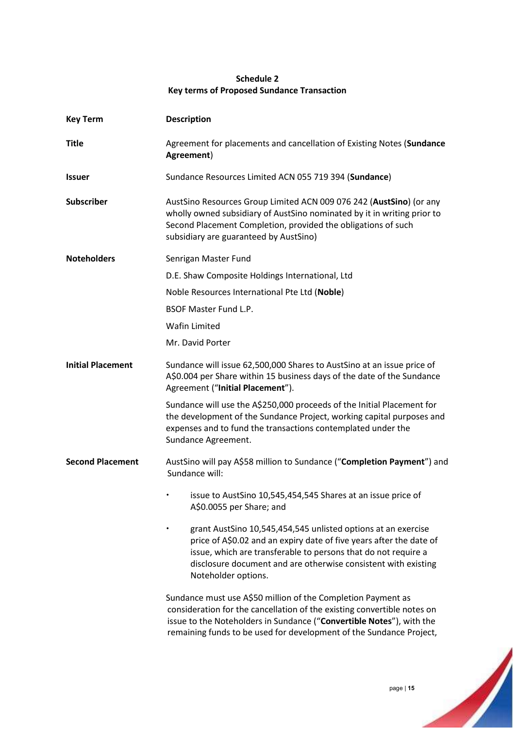### **Schedule 2 Key terms of Proposed Sundance Transaction**

| <b>Key Term</b>          | <b>Description</b>                                                                                                                                                                                                                                                                              |
|--------------------------|-------------------------------------------------------------------------------------------------------------------------------------------------------------------------------------------------------------------------------------------------------------------------------------------------|
| <b>Title</b>             | Agreement for placements and cancellation of Existing Notes (Sundance<br>Agreement)                                                                                                                                                                                                             |
| <b>Issuer</b>            | Sundance Resources Limited ACN 055 719 394 (Sundance)                                                                                                                                                                                                                                           |
| Subscriber               | AustSino Resources Group Limited ACN 009 076 242 (AustSino) (or any<br>wholly owned subsidiary of AustSino nominated by it in writing prior to<br>Second Placement Completion, provided the obligations of such<br>subsidiary are guaranteed by AustSino)                                       |
| <b>Noteholders</b>       | Senrigan Master Fund                                                                                                                                                                                                                                                                            |
|                          | D.E. Shaw Composite Holdings International, Ltd                                                                                                                                                                                                                                                 |
|                          | Noble Resources International Pte Ltd (Noble)                                                                                                                                                                                                                                                   |
|                          | <b>BSOF Master Fund L.P.</b>                                                                                                                                                                                                                                                                    |
|                          | <b>Wafin Limited</b>                                                                                                                                                                                                                                                                            |
|                          | Mr. David Porter                                                                                                                                                                                                                                                                                |
| <b>Initial Placement</b> | Sundance will issue 62,500,000 Shares to AustSino at an issue price of<br>A\$0.004 per Share within 15 business days of the date of the Sundance<br>Agreement ("Initial Placement").                                                                                                            |
|                          | Sundance will use the A\$250,000 proceeds of the Initial Placement for<br>the development of the Sundance Project, working capital purposes and<br>expenses and to fund the transactions contemplated under the<br>Sundance Agreement.                                                          |
| <b>Second Placement</b>  | AustSino will pay A\$58 million to Sundance ("Completion Payment") and<br>Sundance will:                                                                                                                                                                                                        |
|                          | issue to AustSino 10,545,454,545 Shares at an issue price of<br>A\$0.0055 per Share; and                                                                                                                                                                                                        |
|                          | grant AustSino 10,545,454,545 unlisted options at an exercise<br>price of A\$0.02 and an expiry date of five years after the date of<br>issue, which are transferable to persons that do not require a<br>disclosure document and are otherwise consistent with existing<br>Noteholder options. |
|                          | Sundance must use A\$50 million of the Completion Payment as<br>consideration for the cancellation of the existing convertible notes on<br>issue to the Noteholders in Sundance ("Convertible Notes"), with the<br>remaining funds to be used for development of the Sundance Project,          |

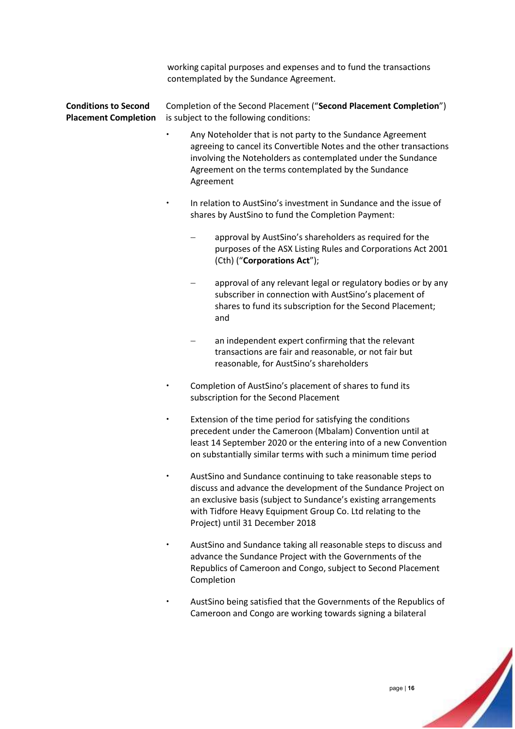working capital purposes and expenses and to fund the transactions contemplated by the Sundance Agreement.

#### **Conditions to Second Placement Completion** Completion of the Second Placement ("**Second Placement Completion**") is subject to the following conditions:

- Any Noteholder that is not party to the Sundance Agreement agreeing to cancel its Convertible Notes and the other transactions involving the Noteholders as contemplated under the Sundance Agreement on the terms contemplated by the Sundance Agreement
- In relation to AustSino's investment in Sundance and the issue of shares by AustSino to fund the Completion Payment:
	- − approval by AustSino's shareholders as required for the purposes of the ASX Listing Rules and Corporations Act 2001 (Cth) ("**Corporations Act**");
	- approval of any relevant legal or regulatory bodies or by any subscriber in connection with AustSino's placement of shares to fund its subscription for the Second Placement; and
	- an independent expert confirming that the relevant transactions are fair and reasonable, or not fair but reasonable, for AustSino's shareholders
- Completion of AustSino's placement of shares to fund its subscription for the Second Placement
- Extension of the time period for satisfying the conditions precedent under the Cameroon (Mbalam) Convention until at least 14 September 2020 or the entering into of a new Convention on substantially similar terms with such a minimum time period
- AustSino and Sundance continuing to take reasonable steps to discuss and advance the development of the Sundance Project on an exclusive basis (subject to Sundance's existing arrangements with Tidfore Heavy Equipment Group Co. Ltd relating to the Project) until 31 December 2018
- AustSino and Sundance taking all reasonable steps to discuss and advance the Sundance Project with the Governments of the Republics of Cameroon and Congo, subject to Second Placement Completion
- AustSino being satisfied that the Governments of the Republics of Cameroon and Congo are working towards signing a bilateral

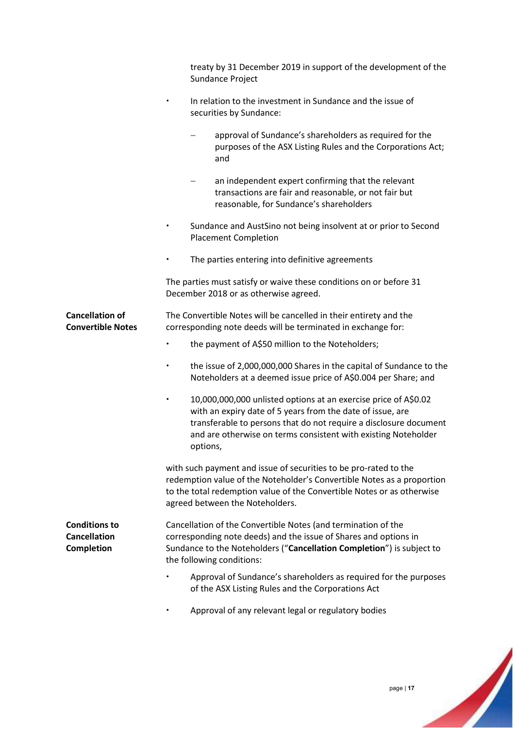|                                                           | treaty by 31 December 2019 in support of the development of the<br>Sundance Project                                                                                                                                                                                                           |
|-----------------------------------------------------------|-----------------------------------------------------------------------------------------------------------------------------------------------------------------------------------------------------------------------------------------------------------------------------------------------|
|                                                           | In relation to the investment in Sundance and the issue of<br>$\bullet$<br>securities by Sundance:                                                                                                                                                                                            |
|                                                           | approval of Sundance's shareholders as required for the<br>purposes of the ASX Listing Rules and the Corporations Act;<br>and                                                                                                                                                                 |
|                                                           | an independent expert confirming that the relevant<br>transactions are fair and reasonable, or not fair but<br>reasonable, for Sundance's shareholders                                                                                                                                        |
|                                                           | Sundance and AustSino not being insolvent at or prior to Second<br>$\bullet$<br><b>Placement Completion</b>                                                                                                                                                                                   |
|                                                           | The parties entering into definitive agreements                                                                                                                                                                                                                                               |
|                                                           | The parties must satisfy or waive these conditions on or before 31<br>December 2018 or as otherwise agreed.                                                                                                                                                                                   |
| <b>Cancellation of</b><br><b>Convertible Notes</b>        | The Convertible Notes will be cancelled in their entirety and the<br>corresponding note deeds will be terminated in exchange for:                                                                                                                                                             |
|                                                           | the payment of A\$50 million to the Noteholders;                                                                                                                                                                                                                                              |
|                                                           | the issue of 2,000,000,000 Shares in the capital of Sundance to the<br>$\bullet$<br>Noteholders at a deemed issue price of A\$0.004 per Share; and                                                                                                                                            |
|                                                           | 10,000,000,000 unlisted options at an exercise price of A\$0.02<br>$\bullet$<br>with an expiry date of 5 years from the date of issue, are<br>transferable to persons that do not require a disclosure document<br>and are otherwise on terms consistent with existing Noteholder<br>options, |
|                                                           | with such payment and issue of securities to be pro-rated to the<br>redemption value of the Noteholder's Convertible Notes as a proportion<br>to the total redemption value of the Convertible Notes or as otherwise<br>agreed between the Noteholders.                                       |
| <b>Conditions to</b><br><b>Cancellation</b><br>Completion | Cancellation of the Convertible Notes (and termination of the<br>corresponding note deeds) and the issue of Shares and options in<br>Sundance to the Noteholders ("Cancellation Completion") is subject to<br>the following conditions:                                                       |
|                                                           | Approval of Sundance's shareholders as required for the purposes<br>of the ASX Listing Rules and the Corporations Act                                                                                                                                                                         |
|                                                           | Approval of any relevant legal or regulatory bodies                                                                                                                                                                                                                                           |

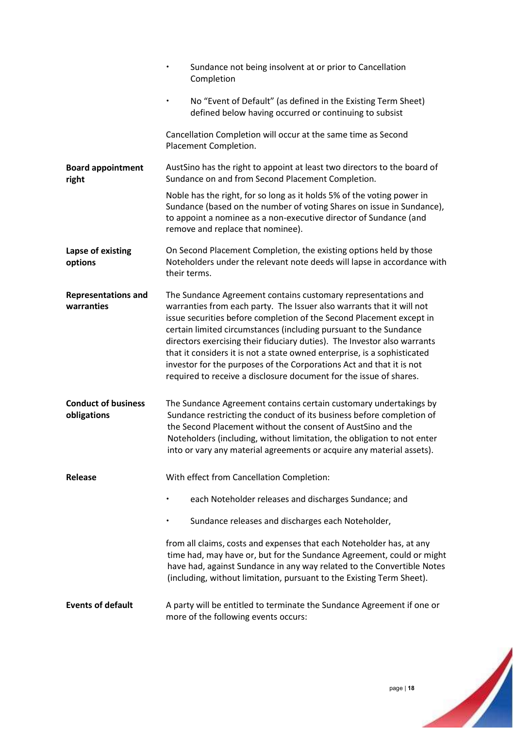|                                           | Sundance not being insolvent at or prior to Cancellation<br>$\bullet$<br>Completion                                                                                                                                                                                                                                                                                                                                                                                                                                                                                                       |
|-------------------------------------------|-------------------------------------------------------------------------------------------------------------------------------------------------------------------------------------------------------------------------------------------------------------------------------------------------------------------------------------------------------------------------------------------------------------------------------------------------------------------------------------------------------------------------------------------------------------------------------------------|
|                                           | No "Event of Default" (as defined in the Existing Term Sheet)<br>defined below having occurred or continuing to subsist                                                                                                                                                                                                                                                                                                                                                                                                                                                                   |
|                                           | Cancellation Completion will occur at the same time as Second<br>Placement Completion.                                                                                                                                                                                                                                                                                                                                                                                                                                                                                                    |
| <b>Board appointment</b><br>right         | AustSino has the right to appoint at least two directors to the board of<br>Sundance on and from Second Placement Completion.                                                                                                                                                                                                                                                                                                                                                                                                                                                             |
|                                           | Noble has the right, for so long as it holds 5% of the voting power in<br>Sundance (based on the number of voting Shares on issue in Sundance),<br>to appoint a nominee as a non-executive director of Sundance (and<br>remove and replace that nominee).                                                                                                                                                                                                                                                                                                                                 |
| Lapse of existing<br>options              | On Second Placement Completion, the existing options held by those<br>Noteholders under the relevant note deeds will lapse in accordance with<br>their terms.                                                                                                                                                                                                                                                                                                                                                                                                                             |
| <b>Representations and</b><br>warranties  | The Sundance Agreement contains customary representations and<br>warranties from each party. The Issuer also warrants that it will not<br>issue securities before completion of the Second Placement except in<br>certain limited circumstances (including pursuant to the Sundance<br>directors exercising their fiduciary duties). The Investor also warrants<br>that it considers it is not a state owned enterprise, is a sophisticated<br>investor for the purposes of the Corporations Act and that it is not<br>required to receive a disclosure document for the issue of shares. |
| <b>Conduct of business</b><br>obligations | The Sundance Agreement contains certain customary undertakings by<br>Sundance restricting the conduct of its business before completion of<br>the Second Placement without the consent of AustSino and the<br>Noteholders (including, without limitation, the obligation to not enter<br>into or vary any material agreements or acquire any material assets).                                                                                                                                                                                                                            |
| Release                                   | With effect from Cancellation Completion:                                                                                                                                                                                                                                                                                                                                                                                                                                                                                                                                                 |
|                                           | each Noteholder releases and discharges Sundance; and                                                                                                                                                                                                                                                                                                                                                                                                                                                                                                                                     |
|                                           | Sundance releases and discharges each Noteholder,                                                                                                                                                                                                                                                                                                                                                                                                                                                                                                                                         |
|                                           | from all claims, costs and expenses that each Noteholder has, at any<br>time had, may have or, but for the Sundance Agreement, could or might<br>have had, against Sundance in any way related to the Convertible Notes<br>(including, without limitation, pursuant to the Existing Term Sheet).                                                                                                                                                                                                                                                                                          |
| <b>Events of default</b>                  | A party will be entitled to terminate the Sundance Agreement if one or<br>more of the following events occurs:                                                                                                                                                                                                                                                                                                                                                                                                                                                                            |

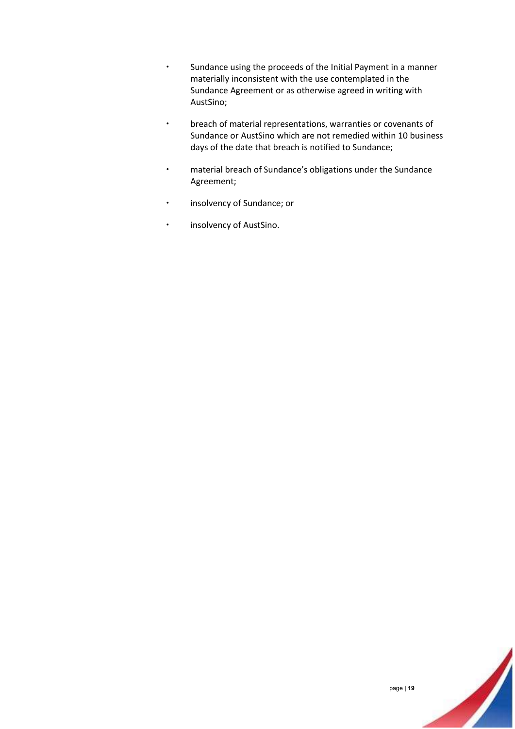- Sundance using the proceeds of the Initial Payment in a manner materially inconsistent with the use contemplated in the Sundance Agreement or as otherwise agreed in writing with AustSino;
- breach of material representations, warranties or covenants of Sundance or AustSino which are not remedied within 10 business days of the date that breach is notified to Sundance;
- material breach of Sundance's obligations under the Sundance Agreement;
- insolvency of Sundance; or
- **·** insolvency of AustSino.

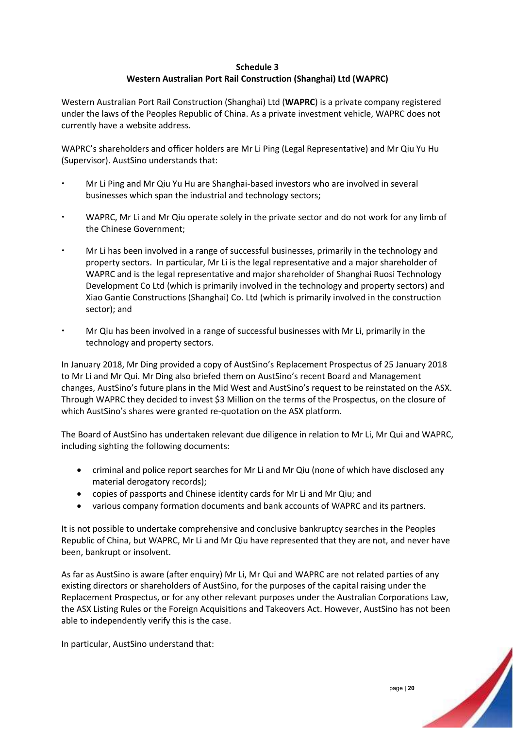### **Schedule 3 Western Australian Port Rail Construction (Shanghai) Ltd (WAPRC)**

Western Australian Port Rail Construction (Shanghai) Ltd (**WAPRC**) is a private company registered under the laws of the Peoples Republic of China. As a private investment vehicle, WAPRC does not currently have a website address.

WAPRC's shareholders and officer holders are Mr Li Ping (Legal Representative) and Mr Qiu Yu Hu (Supervisor). AustSino understands that:

- Mr Li Ping and Mr Qiu Yu Hu are Shanghai-based investors who are involved in several businesses which span the industrial and technology sectors;
- WAPRC, Mr Li and Mr Qiu operate solely in the private sector and do not work for any limb of the Chinese Government;
- Mr Li has been involved in a range of successful businesses, primarily in the technology and property sectors. In particular, Mr Li is the legal representative and a major shareholder of WAPRC and is the legal representative and major shareholder of Shanghai Ruosi Technology Development Co Ltd (which is primarily involved in the technology and property sectors) and Xiao Gantie Constructions (Shanghai) Co. Ltd (which is primarily involved in the construction sector); and
- Mr Qiu has been involved in a range of successful businesses with Mr Li, primarily in the technology and property sectors.

In January 2018, Mr Ding provided a copy of AustSino's Replacement Prospectus of 25 January 2018 to Mr Li and Mr Qui. Mr Ding also briefed them on AustSino's recent Board and Management changes, AustSino's future plans in the Mid West and AustSino's request to be reinstated on the ASX. Through WAPRC they decided to invest \$3 Million on the terms of the Prospectus, on the closure of which AustSino's shares were granted re-quotation on the ASX platform.

The Board of AustSino has undertaken relevant due diligence in relation to Mr Li, Mr Qui and WAPRC, including sighting the following documents:

- criminal and police report searches for Mr Li and Mr Qiu (none of which have disclosed any material derogatory records);
- copies of passports and Chinese identity cards for Mr Li and Mr Qiu; and
- various company formation documents and bank accounts of WAPRC and its partners.

It is not possible to undertake comprehensive and conclusive bankruptcy searches in the Peoples Republic of China, but WAPRC, Mr Li and Mr Qiu have represented that they are not, and never have been, bankrupt or insolvent.

As far as AustSino is aware (after enquiry) Mr Li, Mr Qui and WAPRC are not related parties of any existing directors or shareholders of AustSino, for the purposes of the capital raising under the Replacement Prospectus, or for any other relevant purposes under the Australian Corporations Law, the ASX Listing Rules or the Foreign Acquisitions and Takeovers Act. However, AustSino has not been able to independently verify this is the case.

In particular, AustSino understand that: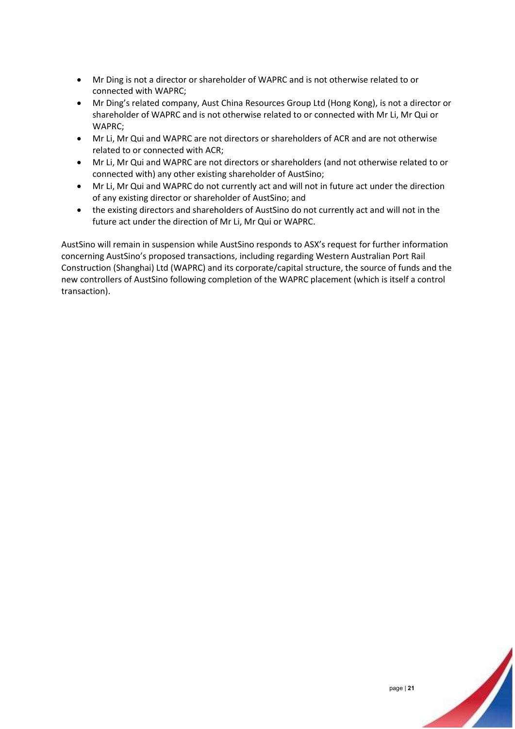- Mr Ding is not a director or shareholder of WAPRC and is not otherwise related to or connected with WAPRC;
- Mr Ding's related company, Aust China Resources Group Ltd (Hong Kong), is not a director or shareholder of WAPRC and is not otherwise related to or connected with Mr Li, Mr Qui or WAPRC;
- Mr Li, Mr Qui and WAPRC are not directors or shareholders of ACR and are not otherwise related to or connected with ACR;
- Mr Li, Mr Qui and WAPRC are not directors or shareholders (and not otherwise related to or connected with) any other existing shareholder of AustSino;
- Mr Li, Mr Qui and WAPRC do not currently act and will not in future act under the direction of any existing director or shareholder of AustSino; and
- the existing directors and shareholders of AustSino do not currently act and will not in the future act under the direction of Mr Li, Mr Qui or WAPRC.

AustSino will remain in suspension while AustSino responds to ASX's request for further information concerning AustSino's proposed transactions, including regarding Western Australian Port Rail Construction (Shanghai) Ltd (WAPRC) and its corporate/capital structure, the source of funds and the new controllers of AustSino following completion of the WAPRC placement (which is itself a control transaction).

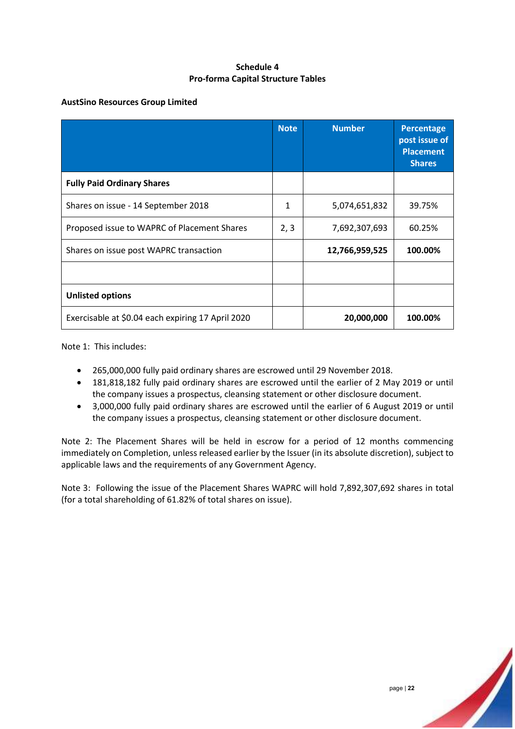### **Schedule 4 Pro-forma Capital Structure Tables**

### **AustSino Resources Group Limited**

|                                                   | <b>Note</b> | <b>Number</b>  | Percentage<br>post issue of<br><b>Placement</b><br><b>Shares</b> |
|---------------------------------------------------|-------------|----------------|------------------------------------------------------------------|
| <b>Fully Paid Ordinary Shares</b>                 |             |                |                                                                  |
| Shares on issue - 14 September 2018               | 1           | 5,074,651,832  | 39.75%                                                           |
| Proposed issue to WAPRC of Placement Shares       | 2, 3        | 7,692,307,693  | 60.25%                                                           |
| Shares on issue post WAPRC transaction            |             | 12,766,959,525 | 100.00%                                                          |
|                                                   |             |                |                                                                  |
| <b>Unlisted options</b>                           |             |                |                                                                  |
| Exercisable at \$0.04 each expiring 17 April 2020 |             | 20,000,000     | 100.00%                                                          |

Note 1: This includes:

- 265,000,000 fully paid ordinary shares are escrowed until 29 November 2018.
- 181,818,182 fully paid ordinary shares are escrowed until the earlier of 2 May 2019 or until the company issues a prospectus, cleansing statement or other disclosure document.
- 3,000,000 fully paid ordinary shares are escrowed until the earlier of 6 August 2019 or until the company issues a prospectus, cleansing statement or other disclosure document.

Note 2: The Placement Shares will be held in escrow for a period of 12 months commencing immediately on Completion, unless released earlier by the Issuer (in its absolute discretion), subject to applicable laws and the requirements of any Government Agency.

Note 3: Following the issue of the Placement Shares WAPRC will hold 7,892,307,692 shares in total (for a total shareholding of 61.82% of total shares on issue).

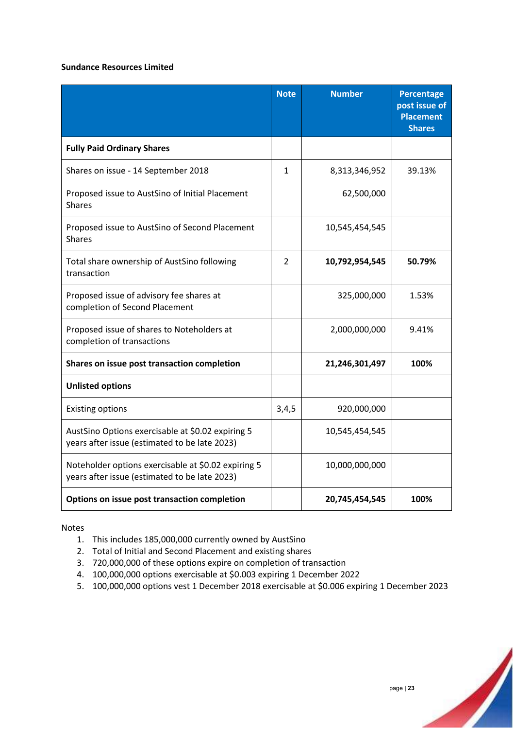### **Sundance Resources Limited**

|                                                                                                      | <b>Note</b>    | <b>Number</b>  | <b>Percentage</b><br>post issue of<br><b>Placement</b><br><b>Shares</b> |
|------------------------------------------------------------------------------------------------------|----------------|----------------|-------------------------------------------------------------------------|
| <b>Fully Paid Ordinary Shares</b>                                                                    |                |                |                                                                         |
| Shares on issue - 14 September 2018                                                                  | $\mathbf{1}$   | 8,313,346,952  | 39.13%                                                                  |
| Proposed issue to AustSino of Initial Placement<br><b>Shares</b>                                     |                | 62,500,000     |                                                                         |
| Proposed issue to AustSino of Second Placement<br><b>Shares</b>                                      |                | 10,545,454,545 |                                                                         |
| Total share ownership of AustSino following<br>transaction                                           | $\overline{2}$ | 10,792,954,545 | 50.79%                                                                  |
| Proposed issue of advisory fee shares at<br>completion of Second Placement                           |                | 325,000,000    | 1.53%                                                                   |
| Proposed issue of shares to Noteholders at<br>completion of transactions                             |                | 2,000,000,000  | 9.41%                                                                   |
| Shares on issue post transaction completion                                                          |                | 21,246,301,497 | 100%                                                                    |
| <b>Unlisted options</b>                                                                              |                |                |                                                                         |
| <b>Existing options</b>                                                                              | 3,4,5          | 920,000,000    |                                                                         |
| AustSino Options exercisable at \$0.02 expiring 5<br>years after issue (estimated to be late 2023)   |                | 10,545,454,545 |                                                                         |
| Noteholder options exercisable at \$0.02 expiring 5<br>years after issue (estimated to be late 2023) |                | 10,000,000,000 |                                                                         |
| Options on issue post transaction completion                                                         |                | 20,745,454,545 | 100%                                                                    |

Notes

- 1. This includes 185,000,000 currently owned by AustSino
- 2. Total of Initial and Second Placement and existing shares
- 3. 720,000,000 of these options expire on completion of transaction
- 4. 100,000,000 options exercisable at \$0.003 expiring 1 December 2022
- 5. 100,000,000 options vest 1 December 2018 exercisable at \$0.006 expiring 1 December 2023

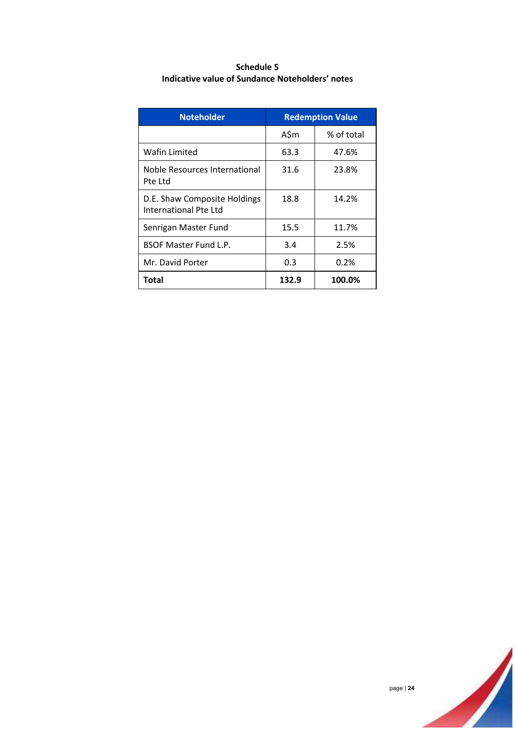| Schedule 5                                      |  |
|-------------------------------------------------|--|
| Indicative value of Sundance Noteholders' notes |  |

| <b>Noteholder</b>                                     | <b>Redemption Value</b> |            |  |
|-------------------------------------------------------|-------------------------|------------|--|
|                                                       | A\$m                    | % of total |  |
| Wafin Limited                                         | 63.3                    | 47.6%      |  |
| Noble Resources International<br>Pte Ltd              | 31.6                    | 23.8%      |  |
| D.E. Shaw Composite Holdings<br>International Pte Ltd | 18.8                    | 14.2%      |  |
| Senrigan Master Fund                                  | 15.5                    | 11.7%      |  |
| <b>BSOF Master Fund L.P.</b>                          | 3.4                     | 2.5%       |  |
| Mr. David Porter                                      | 0.3                     | 0.2%       |  |
| Total                                                 | 132.9                   | 100.0%     |  |

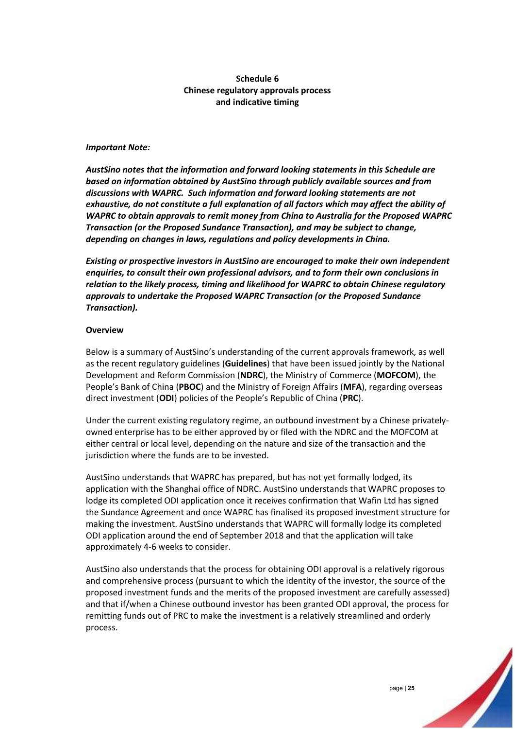### **Schedule 6 Chinese regulatory approvals process and indicative timing**

### *Important Note:*

*AustSino notes that the information and forward looking statements in this Schedule are based on information obtained by AustSino through publicly available sources and from discussions with WAPRC. Such information and forward looking statements are not exhaustive, do not constitute a full explanation of all factors which may affect the ability of WAPRC to obtain approvals to remit money from China to Australia for the Proposed WAPRC Transaction (or the Proposed Sundance Transaction), and may be subject to change, depending on changes in laws, regulations and policy developments in China.* 

*Existing or prospective investors in AustSino are encouraged to make their own independent enquiries, to consult their own professional advisors, and to form their own conclusions in relation to the likely process, timing and likelihood for WAPRC to obtain Chinese regulatory approvals to undertake the Proposed WAPRC Transaction (or the Proposed Sundance Transaction).*

#### **Overview**

Below is a summary of AustSino's understanding of the current approvals framework, as well as the recent regulatory guidelines (**Guidelines**) that have been issued jointly by the National Development and Reform Commission (**NDRC**), the Ministry of Commerce (**MOFCOM**), the People's Bank of China (**PBOC**) and the Ministry of Foreign Affairs (**MFA**), regarding overseas direct investment (**ODI**) policies of the People's Republic of China (**PRC**).

Under the current existing regulatory regime, an outbound investment by a Chinese privatelyowned enterprise has to be either approved by or filed with the NDRC and the MOFCOM at either central or local level, depending on the nature and size of the transaction and the jurisdiction where the funds are to be invested.

AustSino understands that WAPRC has prepared, but has not yet formally lodged, its application with the Shanghai office of NDRC. AustSino understands that WAPRC proposes to lodge its completed ODI application once it receives confirmation that Wafin Ltd has signed the Sundance Agreement and once WAPRC has finalised its proposed investment structure for making the investment. AustSino understands that WAPRC will formally lodge its completed ODI application around the end of September 2018 and that the application will take approximately 4-6 weeks to consider.

AustSino also understands that the process for obtaining ODI approval is a relatively rigorous and comprehensive process (pursuant to which the identity of the investor, the source of the proposed investment funds and the merits of the proposed investment are carefully assessed) and that if/when a Chinese outbound investor has been granted ODI approval, the process for remitting funds out of PRC to make the investment is a relatively streamlined and orderly process.

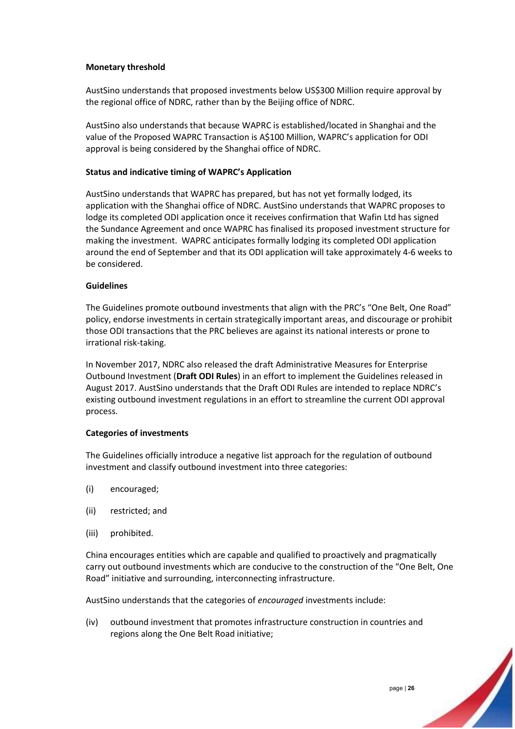### **Monetary threshold**

AustSino understands that proposed investments below US\$300 Million require approval by the regional office of NDRC, rather than by the Beijing office of NDRC.

AustSino also understands that because WAPRC is established/located in Shanghai and the value of the Proposed WAPRC Transaction is A\$100 Million, WAPRC's application for ODI approval is being considered by the Shanghai office of NDRC.

### **Status and indicative timing of WAPRC's Application**

AustSino understands that WAPRC has prepared, but has not yet formally lodged, its application with the Shanghai office of NDRC. AustSino understands that WAPRC proposes to lodge its completed ODI application once it receives confirmation that Wafin Ltd has signed the Sundance Agreement and once WAPRC has finalised its proposed investment structure for making the investment. WAPRC anticipates formally lodging its completed ODI application around the end of September and that its ODI application will take approximately 4-6 weeks to be considered.

### **Guidelines**

The Guidelines promote outbound investments that align with the PRC's "One Belt, One Road" policy, endorse investments in certain strategically important areas, and discourage or prohibit those ODI transactions that the PRC believes are against its national interests or prone to irrational risk-taking.

In November 2017, NDRC also released the draft Administrative Measures for Enterprise Outbound Investment (**Draft ODI Rules**) in an effort to implement the Guidelines released in August 2017. AustSino understands that the Draft ODI Rules are intended to replace NDRC's existing outbound investment regulations in an effort to streamline the current ODI approval process.

### **Categories of investments**

The Guidelines officially introduce a negative list approach for the regulation of outbound investment and classify outbound investment into three categories:

- (i) encouraged;
- (ii) restricted; and
- (iii) prohibited.

China encourages entities which are capable and qualified to proactively and pragmatically carry out outbound investments which are conducive to the construction of the "One Belt, One Road" initiative and surrounding, interconnecting infrastructure.

AustSino understands that the categories of *encouraged* investments include:

(iv) outbound investment that promotes infrastructure construction in countries and regions along the One Belt Road initiative;

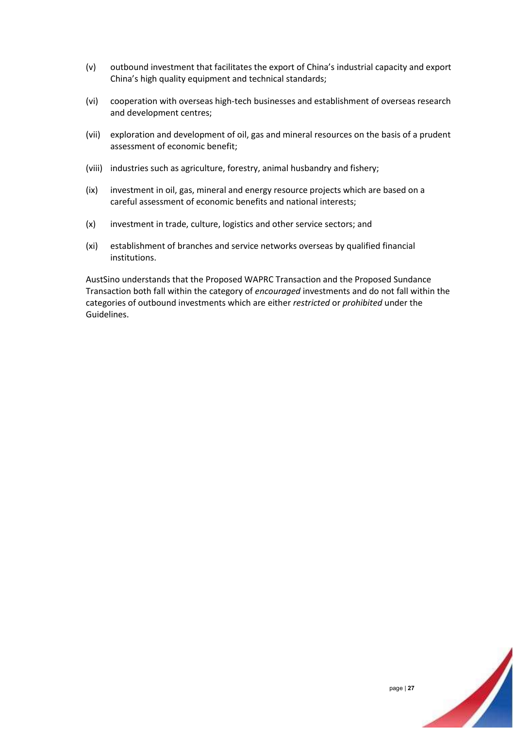- (v) outbound investment that facilitates the export of China's industrial capacity and export China's high quality equipment and technical standards;
- (vi) cooperation with overseas high-tech businesses and establishment of overseas research and development centres;
- (vii) exploration and development of oil, gas and mineral resources on the basis of a prudent assessment of economic benefit;
- (viii) industries such as agriculture, forestry, animal husbandry and fishery;
- (ix) investment in oil, gas, mineral and energy resource projects which are based on a careful assessment of economic benefits and national interests;
- (x) investment in trade, culture, logistics and other service sectors; and
- (xi) establishment of branches and service networks overseas by qualified financial institutions.

AustSino understands that the Proposed WAPRC Transaction and the Proposed Sundance Transaction both fall within the category of *encouraged* investments and do not fall within the categories of outbound investments which are either *restricted* or *prohibited* under the Guidelines.

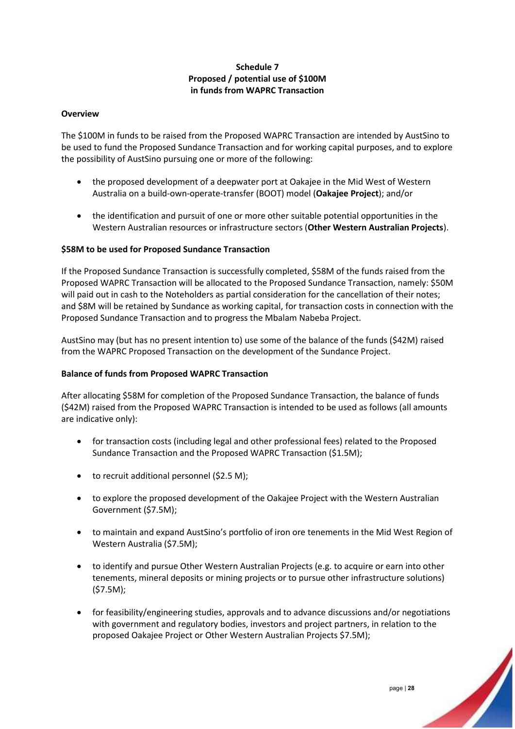### **Schedule 7 Proposed / potential use of \$100M in funds from WAPRC Transaction**

### **Overview**

The \$100M in funds to be raised from the Proposed WAPRC Transaction are intended by AustSino to be used to fund the Proposed Sundance Transaction and for working capital purposes, and to explore the possibility of AustSino pursuing one or more of the following:

- the proposed development of a deepwater port at Oakajee in the Mid West of Western Australia on a build-own-operate-transfer (BOOT) model (**Oakajee Project**); and/or
- the identification and pursuit of one or more other suitable potential opportunities in the Western Australian resources or infrastructure sectors (**Other Western Australian Projects**).

### **\$58M to be used for Proposed Sundance Transaction**

If the Proposed Sundance Transaction is successfully completed, \$58M of the funds raised from the Proposed WAPRC Transaction will be allocated to the Proposed Sundance Transaction, namely: \$50M will paid out in cash to the Noteholders as partial consideration for the cancellation of their notes; and \$8M will be retained by Sundance as working capital, for transaction costs in connection with the Proposed Sundance Transaction and to progress the Mbalam Nabeba Project.

AustSino may (but has no present intention to) use some of the balance of the funds (\$42M) raised from the WAPRC Proposed Transaction on the development of the Sundance Project.

#### **Balance of funds from Proposed WAPRC Transaction**

After allocating \$58M for completion of the Proposed Sundance Transaction, the balance of funds (\$42M) raised from the Proposed WAPRC Transaction is intended to be used as follows (all amounts are indicative only):

- for transaction costs (including legal and other professional fees) related to the Proposed Sundance Transaction and the Proposed WAPRC Transaction (\$1.5M);
- to recruit additional personnel (\$2.5 M);
- to explore the proposed development of the Oakajee Project with the Western Australian Government (\$7.5M);
- to maintain and expand AustSino's portfolio of iron ore tenements in the Mid West Region of Western Australia (\$7.5M);
- to identify and pursue Other Western Australian Projects (e.g. to acquire or earn into other tenements, mineral deposits or mining projects or to pursue other infrastructure solutions) (\$7.5M);
- for feasibility/engineering studies, approvals and to advance discussions and/or negotiations with government and regulatory bodies, investors and project partners, in relation to the proposed Oakajee Project or Other Western Australian Projects \$7.5M);

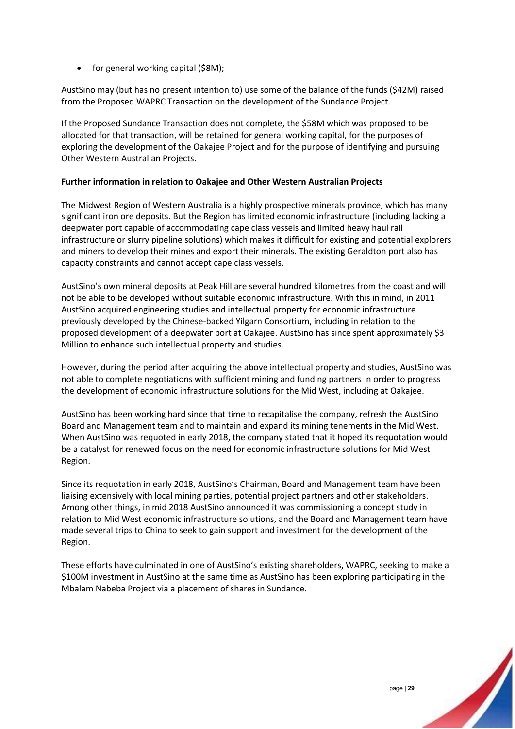• for general working capital (\$8M);

AustSino may (but has no present intention to) use some of the balance of the funds (\$42M) raised from the Proposed WAPRC Transaction on the development of the Sundance Project.

If the Proposed Sundance Transaction does not complete, the \$58M which was proposed to be allocated for that transaction, will be retained for general working capital, for the purposes of exploring the development of the Oakajee Project and for the purpose of identifying and pursuing Other Western Australian Projects.

### **Further information in relation to Oakajee and Other Western Australian Projects**

The Midwest Region of Western Australia is a highly prospective minerals province, which has many significant iron ore deposits. But the Region has limited economic infrastructure (including lacking a deepwater port capable of accommodating cape class vessels and limited heavy haul rail infrastructure or slurry pipeline solutions) which makes it difficult for existing and potential explorers and miners to develop their mines and export their minerals. The existing Geraldton port also has capacity constraints and cannot accept cape class vessels.

AustSino's own mineral deposits at Peak Hill are several hundred kilometres from the coast and will not be able to be developed without suitable economic infrastructure. With this in mind, in 2011 AustSino acquired engineering studies and intellectual property for economic infrastructure previously developed by the Chinese-backed Yilgarn Consortium, including in relation to the proposed development of a deepwater port at Oakajee. AustSino has since spent approximately \$3 Million to enhance such intellectual property and studies.

However, during the period after acquiring the above intellectual property and studies, AustSino was not able to complete negotiations with sufficient mining and funding partners in order to progress the development of economic infrastructure solutions for the Mid West, including at Oakajee.

AustSino has been working hard since that time to recapitalise the company, refresh the AustSino Board and Management team and to maintain and expand its mining tenements in the Mid West. When AustSino was requoted in early 2018, the company stated that it hoped its requotation would be a catalyst for renewed focus on the need for economic infrastructure solutions for Mid West Region.

Since its requotation in early 2018, AustSino's Chairman, Board and Management team have been liaising extensively with local mining parties, potential project partners and other stakeholders. Among other things, in mid 2018 AustSino announced it was commissioning a concept study in relation to Mid West economic infrastructure solutions, and the Board and Management team have made several trips to China to seek to gain support and investment for the development of the Region.

These efforts have culminated in one of AustSino's existing shareholders, WAPRC, seeking to make a \$100M investment in AustSino at the same time as AustSino has been exploring participating in the Mbalam Nabeba Project via a placement of shares in Sundance.